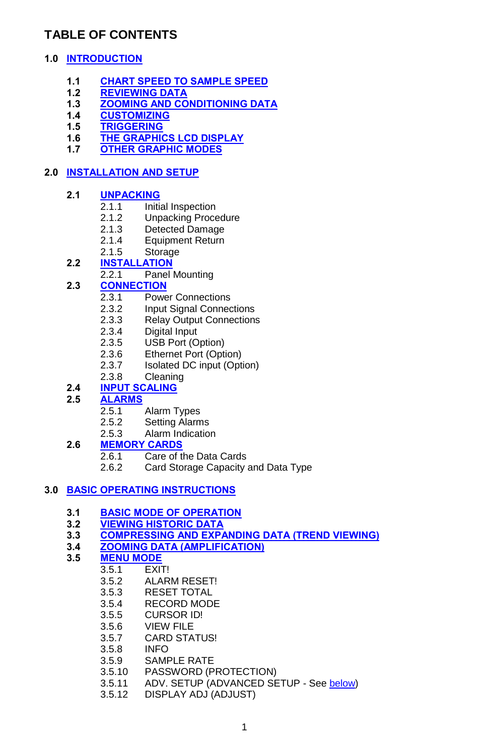# **TABLE OF CONTENTS**

### **1.0 INTRODUCTION**

- **1.1 CHART SPEED TO SAMPLE SPEED**
- **1.2 REVIEWING DATA**
- **1.3 ZOOMING AND CONDITIONING DATA**
- **1.4 CUSTOMIZING**
- **1.5 TRIGGERING**
- **1.6 THE GRAPHICS LCD DISPLAY**
- **1.7 OTHER GRAPHIC MODES**

### **2.0 INSTALLATION AND SETUP**

### **2.1 UNPACKING**

- 2.1.1 Initial Inspection
- 2.1.2 Unpacking Procedure<br>2.1.3 Detected Damage
- Detected Damage
- 2.1.4 Equipment Return
- 2.1.5 Storage

### **2.2 INSTALLATION**

2.2.1 Panel Mounting

### **2.3 CONNECTION**

- 2.3.1 Power Connections<br>2.3.2 Input Signal Connect
- Input Signal Connections
- 2.3.3 Relay Output Connections<br>2.3.4 Digital Input
- Digital Input
- 2.3.5 USB Port (Option)
- 2.3.6 Ethernet Port (Option)
- 2.3.7 Isolated DC input (Option)
- 2.3.8 Cleaning

### **2.4 INPUT SCALING**

### **2.5 ALARMS**

- 2.5.1 Alarm Types<br>2.5.2 Setting Alarm
- Setting Alarms
- 2.5.3 Alarm Indication
- **2.6 MEMORY CARDS**
	- 2.6.1 Care of the Data Cards
	- 2.6.2 Card Storage Capacity and Data Type

### **3.0 BASIC OPERATING INSTRUCTIONS**

- **3.1 BASIC MODE OF OPERATION**
- **3.2 VIEWING HISTORIC DATA**
- **3.3 COMPRESSING AND EXPANDING DATA (TREND VIEWING)**
- **3.4 ZOOMING DATA (AMPLIFICATION)**
- **3.5 MENU MODE**
	- $\overline{F}$ XIT!
		- 3.5.2 ALARM RESET!
		- 3.5.3 RESET TOTAL
		- 3.5.4 RECORD MODE<br>3.5.5 CURSOR IDJ
		- CURSOR ID!
		- 3.5.6 VIEW FILE
		- 3.5.7 CARD STATUS!<br>3.5.8 INFO
		- 3.5.8 INFO
		- 3.5.9 SAMPLE RATE
		- 3.5.10 PASSWORD (PROTECTION)
		- 3.5.11 ADV. SETUP (ADVANCED SETUP See **below)**<br>3.5.12 DISPLAY ADJ (ADJUST)
		- DISPLAY ADJ (ADJUST)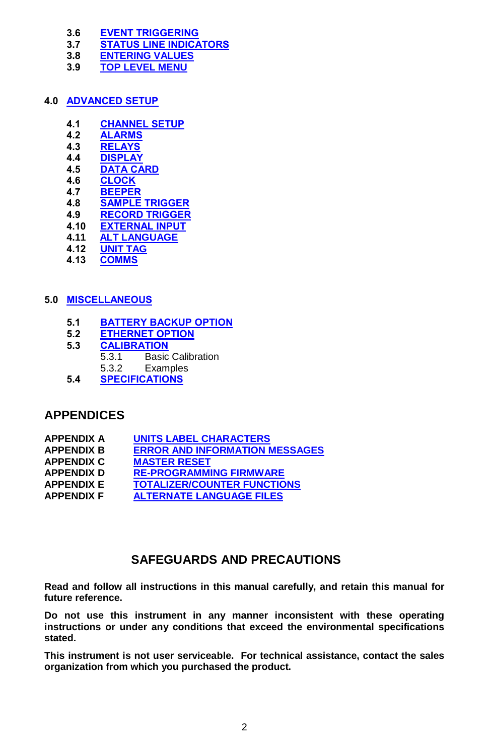- **3.6 EVENT TRIGGERING**
- **3.7 STATUS LINE INDICATORS**
- **3.8 ENTERING VALUES**
- **3.9 TOP LEVEL MENU**

### **4.0 ADVANCED SETUP**

- **4.1 CHANNEL SETUP**
- **4.2 ALARMS**
- **4.3 RELAYS**
- **4.4 DISPLAY**
- **4.5 DATA CARD**
- **4.6 CLOCK**
- **4.7 BEEPER 4.8 SAMPLE TRIGGER**
- **4.9 RECORD TRIGGER**
- 
- **4.10 EXTERNAL INPUT 4.11 ALT LANGUAGE**
- **4.12 UNIT TAG**
- **4.13 COMMS**

### **5.0 MISCELLANEOUS**

- **5.1 BATTERY BACKUP OPTION**
- **5.2 ETHERNET OPTION**
- **5.3 CALIBRATION**
	- **Basic Calibration**
	- 5.3.2 Examples
- **5.4 SPECIFICATIONS**

## **APPENDICES**

| <b>APPENDIX A</b> | <b>UNITS LABEL CHARACTERS</b>         |
|-------------------|---------------------------------------|
| <b>APPENDIX B</b> | <b>ERROR AND INFORMATION MESSAGES</b> |
| <b>APPENDIX C</b> | <b>MASTER RESET</b>                   |
| <b>APPENDIX D</b> | <b>RE-PROGRAMMING FIRMWARE</b>        |
| <b>APPENDIX E</b> | <b>TOTALIZER/COUNTER FUNCTIONS</b>    |
| <b>APPENDIX F</b> | <b>ALTERNATE LANGUAGE FILES</b>       |

# **SAFEGUARDS AND PRECAUTIONS**

**Read and follow all instructions in this manual carefully, and retain this manual for future reference.**

**Do not use this instrument in any manner inconsistent with these operating instructions or under any conditions that exceed the environmental specifications stated.**

**This instrument is not user serviceable. For technical assistance, contact the sales organization from which you purchased the product.**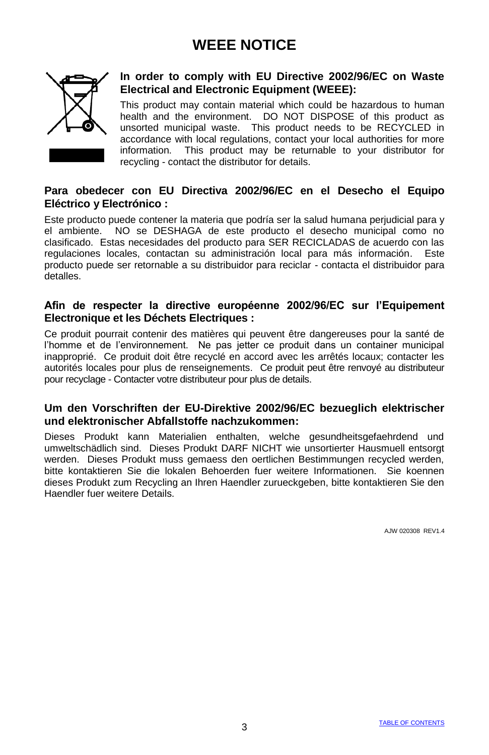# **WEEE NOTICE**



### **In order to comply with EU Directive 2002/96/EC on Waste Electrical and Electronic Equipment (WEEE):**

This product may contain material which could be hazardous to human health and the environment. DO NOT DISPOSE of this product as unsorted municipal waste. This product needs to be RECYCLED in accordance with local regulations, contact your local authorities for more information. This product may be returnable to your distributor for recycling - contact the distributor for details.

### **Para obedecer con EU Directiva 2002/96/EC en el Desecho el Equipo Eléctrico y Electrónico :**

Este producto puede contener la materia que podría ser la salud humana perjudicial para y el ambiente. NO se DESHAGA de este producto el desecho municipal como no clasificado. Estas necesidades del producto para SER RECICLADAS de acuerdo con las regulaciones locales, contactan su administración local para más información. Este producto puede ser retornable a su distribuidor para reciclar - contacta el distribuidor para detalles.

### **Afin de respecter la directive européenne 2002/96/EC sur l'Equipement Electronique et les Déchets Electriques :**

Ce produit pourrait contenir des matières qui peuvent être dangereuses pour la santé de l'homme et de l'environnement. Ne pas jetter ce produit dans un container municipal inapproprié. Ce produit doit être recyclé en accord avec les arrêtés locaux; contacter les autorités locales pour plus de renseignements. Ce produit peut être renvoyé au distributeur pour recyclage - Contacter votre distributeur pour plus de details.

#### **Um den Vorschriften der EU-Direktive 2002/96/EC bezueglich elektrischer und elektronischer Abfallstoffe nachzukommen:**

Dieses Produkt kann Materialien enthalten, welche gesundheitsgefaehrdend und umweltschädlich sind. Dieses Produkt DARF NICHT wie unsortierter Hausmuell entsorgt werden. Dieses Produkt muss gemaess den oertlichen Bestimmungen recycled werden, bitte kontaktieren Sie die lokalen Behoerden fuer weitere Informationen. Sie koennen dieses Produkt zum Recycling an Ihren Haendler zurueckgeben, bitte kontaktieren Sie den Haendler fuer weitere Details.

AJW 020308 REV1.4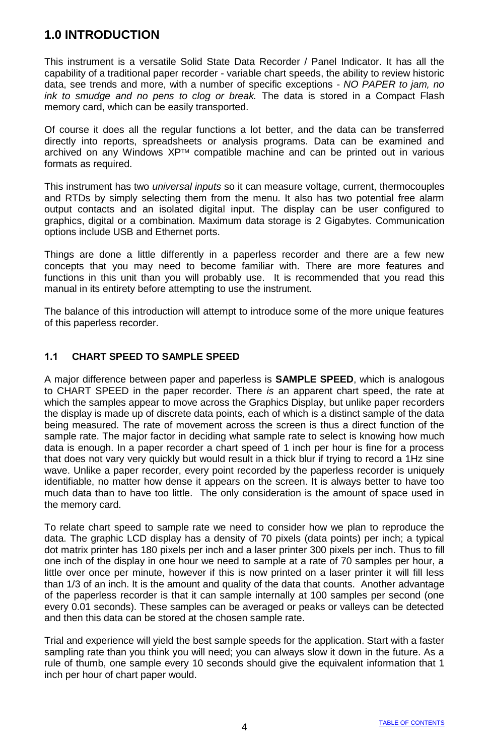# **1.0 INTRODUCTION**

This instrument is a versatile Solid State Data Recorder / Panel Indicator. It has all the capability of a traditional paper recorder - variable chart speeds, the ability to review historic data, see trends and more, with a number of specific exceptions - *NO PAPER to jam, no ink to smudge and no pens to clog or break.* The data is stored in a Compact Flash memory card, which can be easily transported.

Of course it does all the regular functions a lot better, and the data can be transferred directly into reports, spreadsheets or analysis programs. Data can be examined and archived on any Windows XP™ compatible machine and can be printed out in various formats as required.

This instrument has two *universal inputs* so it can measure voltage, current, thermocouples and RTDs by simply selecting them from the menu. It also has two potential free alarm output contacts and an isolated digital input. The display can be user configured to graphics, digital or a combination. Maximum data storage is 2 Gigabytes. Communication options include USB and Ethernet ports.

Things are done a little differently in a paperless recorder and there are a few new concepts that you may need to become familiar with. There are more features and functions in this unit than you will probably use. It is recommended that you read this manual in its entirety before attempting to use the instrument.

The balance of this introduction will attempt to introduce some of the more unique features of this paperless recorder.

### **1.1 CHART SPEED TO SAMPLE SPEED**

A major difference between paper and paperless is **SAMPLE SPEED**, which is analogous to CHART SPEED in the paper recorder. There *is* an apparent chart speed, the rate at which the samples appear to move across the Graphics Display, but unlike paper recorders the display is made up of discrete data points, each of which is a distinct sample of the data being measured. The rate of movement across the screen is thus a direct function of the sample rate. The major factor in deciding what sample rate to select is knowing how much data is enough. In a paper recorder a chart speed of 1 inch per hour is fine for a process that does not vary very quickly but would result in a thick blur if trying to record a 1Hz sine wave. Unlike a paper recorder, every point recorded by the paperless recorder is uniquely identifiable, no matter how dense it appears on the screen. It is always better to have too much data than to have too little. The only consideration is the amount of space used in the memory card.

To relate chart speed to sample rate we need to consider how we plan to reproduce the data. The graphic LCD display has a density of 70 pixels (data points) per inch; a typical dot matrix printer has 180 pixels per inch and a laser printer 300 pixels per inch. Thus to fill one inch of the display in one hour we need to sample at a rate of 70 samples per hour, a little over once per minute, however if this is now printed on a laser printer it will fill less than 1/3 of an inch. It is the amount and quality of the data that counts. Another advantage of the paperless recorder is that it can sample internally at 100 samples per second (one every 0.01 seconds). These samples can be averaged or peaks or valleys can be detected and then this data can be stored at the chosen sample rate.

Trial and experience will yield the best sample speeds for the application. Start with a faster sampling rate than you think you will need; you can always slow it down in the future. As a rule of thumb, one sample every 10 seconds should give the equivalent information that 1 inch per hour of chart paper would.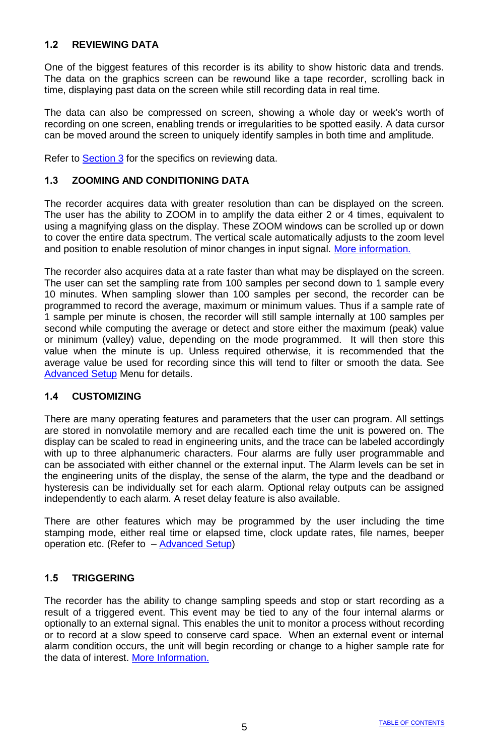### **1.2 REVIEWING DATA**

One of the biggest features of this recorder is its ability to show historic data and trends. The data on the graphics screen can be rewound like a tape recorder, scrolling back in time, displaying past data on the screen while still recording data in real time.

The data can also be compressed on screen, showing a whole day or week's worth of recording on one screen, enabling trends or irregularities to be spotted easily. A data cursor can be moved around the screen to uniquely identify samples in both time and amplitude.

Refer to Section 3 for the specifics on reviewing data.

#### **1.3 ZOOMING AND CONDITIONING DATA**

The recorder acquires data with greater resolution than can be displayed on the screen. The user has the ability to ZOOM in to amplify the data either 2 or 4 times, equivalent to using a magnifying glass on the display. These ZOOM windows can be scrolled up or down to cover the entire data spectrum. The vertical scale automatically adjusts to the zoom level and position to enable resolution of minor changes in input signal. More information.

The recorder also acquires data at a rate faster than what may be displayed on the screen. The user can set the sampling rate from 100 samples per second down to 1 sample every 10 minutes. When sampling slower than 100 samples per second, the recorder can be programmed to record the average, maximum or minimum values. Thus if a sample rate of 1 sample per minute is chosen, the recorder will still sample internally at 100 samples per second while computing the average or detect and store either the maximum (peak) value or minimum (valley) value, depending on the mode programmed. It will then store this value when the minute is up. Unless required otherwise, it is recommended that the average value be used for recording since this will tend to filter or smooth the data. See Advanced Setup Menu for details.

#### **1.4 CUSTOMIZING**

There are many operating features and parameters that the user can program. All settings are stored in nonvolatile memory and are recalled each time the unit is powered on. The display can be scaled to read in engineering units, and the trace can be labeled accordingly with up to three alphanumeric characters. Four alarms are fully user programmable and can be associated with either channel or the external input. The Alarm levels can be set in the engineering units of the display, the sense of the alarm, the type and the deadband or hysteresis can be individually set for each alarm. Optional relay outputs can be assigned independently to each alarm. A reset delay feature is also available.

There are other features which may be programmed by the user including the time stamping mode, either real time or elapsed time, clock update rates, file names, beeper operation etc. (Refer to – Advanced Setup)

#### **1.5 TRIGGERING**

The recorder has the ability to change sampling speeds and stop or start recording as a result of a triggered event. This event may be tied to any of the four internal alarms or optionally to an external signal. This enables the unit to monitor a process without recording or to record at a slow speed to conserve card space. When an external event or internal alarm condition occurs, the unit will begin recording or change to a higher sample rate for the data of interest. More Information.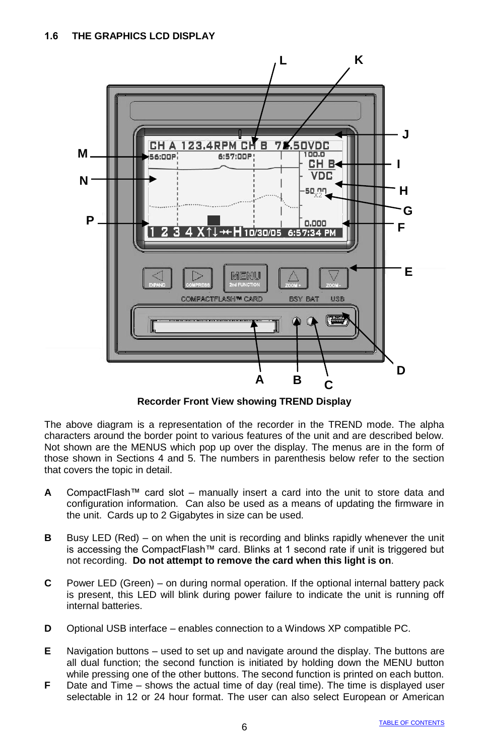

**Recorder Front View showing TREND Display**

The above diagram is a representation of the recorder in the TREND mode. The alpha characters around the border point to various features of the unit and are described below. Not shown are the MENUS which pop up over the display. The menus are in the form of those shown in Sections 4 and 5. The numbers in parenthesis below refer to the section that covers the topic in detail.

- **A** CompactFlash™ card slot manually insert a card into the unit to store data and configuration information. Can also be used as a means of updating the firmware in the unit. Cards up to 2 Gigabytes in size can be used.
- **B** Busy LED (Red) on when the unit is recording and blinks rapidly whenever the unit is accessing the CompactFlash™ card. Blinks at 1 second rate if unit is triggered but not recording. **Do not attempt to remove the card when this light is on**.
- **C** Power LED (Green) on during normal operation. If the optional internal battery pack is present, this LED will blink during power failure to indicate the unit is running off internal batteries.
- **D** Optional USB interface enables connection to a Windows XP compatible PC.
- **E** Navigation buttons used to set up and navigate around the display. The buttons are all dual function; the second function is initiated by holding down the MENU button while pressing one of the other buttons. The second function is printed on each button.
- **F** Date and Time shows the actual time of day (real time). The time is displayed user selectable in 12 or 24 hour format. The user can also select European or American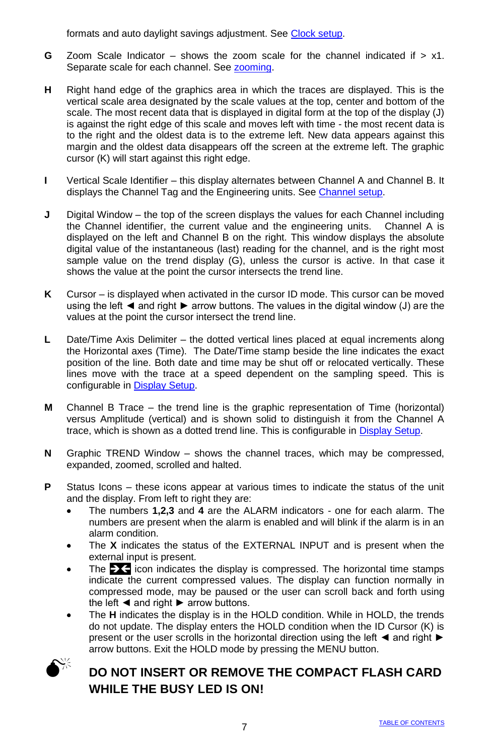formats and auto daylight savings adjustment. See Clock setup.

- **G** Zoom Scale Indicator shows the zoom scale for the channel indicated if > x1. Separate scale for each channel. See zooming.
- **H** Right hand edge of the graphics area in which the traces are displayed. This is the vertical scale area designated by the scale values at the top, center and bottom of the scale. The most recent data that is displayed in digital form at the top of the display (J) is against the right edge of this scale and moves left with time - the most recent data is to the right and the oldest data is to the extreme left. New data appears against this margin and the oldest data disappears off the screen at the extreme left. The graphic cursor (K) will start against this right edge.
- **I** Vertical Scale Identifier this display alternates between Channel A and Channel B. It displays the Channel Tag and the Engineering units. See Channel setup.
- **J** Digital Window the top of the screen displays the values for each Channel including the Channel identifier, the current value and the engineering units. Channel A is displayed on the left and Channel B on the right. This window displays the absolute digital value of the instantaneous (last) reading for the channel, and is the right most sample value on the trend display (G), unless the cursor is active. In that case it shows the value at the point the cursor intersects the trend line.
- **K** Cursor is displayed when activated in the cursor ID mode. This cursor can be moved using the left ◄ and right ► arrow buttons. The values in the digital window (J) are the values at the point the cursor intersect the trend line.
- **L** Date/Time Axis Delimiter the dotted vertical lines placed at equal increments along the Horizontal axes (Time). The Date/Time stamp beside the line indicates the exact position of the line. Both date and time may be shut off or relocated vertically. These lines move with the trace at a speed dependent on the sampling speed. This is configurable in Display Setup.
- **M** Channel B Trace the trend line is the graphic representation of Time (horizontal) versus Amplitude (vertical) and is shown solid to distinguish it from the Channel A trace, which is shown as a dotted trend line. This is configurable in Display Setup.
- **N** Graphic TREND Window shows the channel traces, which may be compressed, expanded, zoomed, scrolled and halted.
- **P** Status Icons these icons appear at various times to indicate the status of the unit and the display. From left to right they are:
	- The numbers **1,2,3** and **4** are the ALARM indicators one for each alarm. The numbers are present when the alarm is enabled and will blink if the alarm is in an alarm condition.
	- The **X** indicates the status of the EXTERNAL INPUT and is present when the external input is present.
	- The  $\geq$  icon indicates the display is compressed. The horizontal time stamps indicate the current compressed values. The display can function normally in compressed mode, may be paused or the user can scroll back and forth using the left ◄ and right ► arrow buttons.
	- The **H** indicates the display is in the HOLD condition. While in HOLD, the trends do not update. The display enters the HOLD condition when the ID Cursor (K) is present or the user scrolls in the horizontal direction using the left ◄ and right ► arrow buttons. Exit the HOLD mode by pressing the MENU button.



# **DO NOT INSERT OR REMOVE THE COMPACT FLASH CARD WHILE THE BUSY LED IS ON!**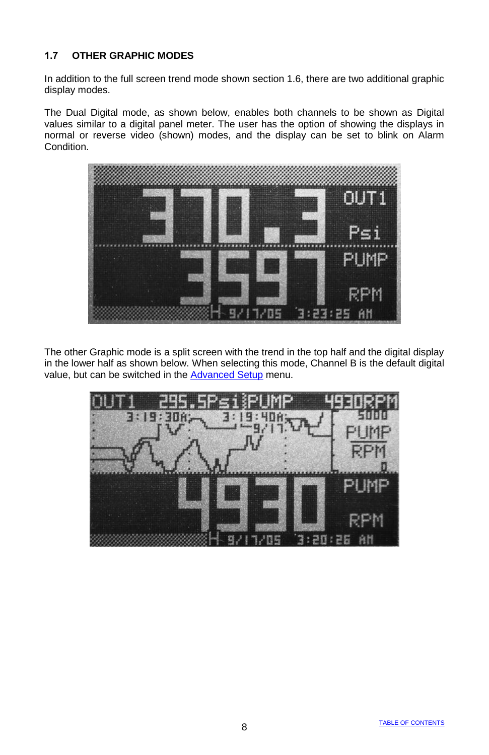### **1.7 OTHER GRAPHIC MODES**

In addition to the full screen trend mode shown section 1.6, there are two additional graphic display modes.

The Dual Digital mode, as shown below, enables both channels to be shown as Digital values similar to a digital panel meter. The user has the option of showing the displays in normal or reverse video (shown) modes, and the display can be set to blink on Alarm Condition.



The other Graphic mode is a split screen with the trend in the top half and the digital display in the lower half as shown below. When selecting this mode, Channel B is the default digital value, but can be switched in the Advanced Setup menu.

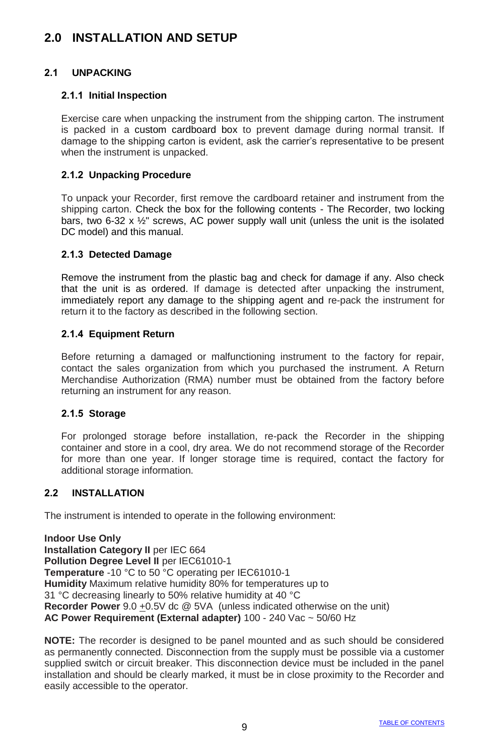# **2.0 INSTALLATION AND SETUP**

### **2.1 UNPACKING**

#### **2.1.1 Initial Inspection**

Exercise care when unpacking the instrument from the shipping carton. The instrument is packed in a custom cardboard box to prevent damage during normal transit. If damage to the shipping carton is evident, ask the carrier's representative to be present when the instrument is unpacked.

#### **2.1.2 Unpacking Procedure**

To unpack your Recorder, first remove the cardboard retainer and instrument from the shipping carton. Check the box for the following contents - The Recorder, two locking bars, two 6-32 x  $\frac{1}{2}$ " screws, AC power supply wall unit (unless the unit is the isolated DC model) and this manual.

#### **2.1.3 Detected Damage**

Remove the instrument from the plastic bag and check for damage if any. Also check that the unit is as ordered. If damage is detected after unpacking the instrument, immediately report any damage to the shipping agent and re-pack the instrument for return it to the factory as described in the following section.

#### **2.1.4 Equipment Return**

Before returning a damaged or malfunctioning instrument to the factory for repair, contact the sales organization from which you purchased the instrument. A Return Merchandise Authorization (RMA) number must be obtained from the factory before returning an instrument for any reason.

#### **2.1.5 Storage**

For prolonged storage before installation, re-pack the Recorder in the shipping container and store in a cool, dry area. We do not recommend storage of the Recorder for more than one year. If longer storage time is required, contact the factory for additional storage information.

#### **2.2 INSTALLATION**

The instrument is intended to operate in the following environment:

**Indoor Use Only Installation Category II** per IEC 664 **Pollution Degree Level II per IEC61010-1 Temperature** -10 °C to 50 °C operating per IEC61010-1 **Humidity** Maximum relative humidity 80% for temperatures up to 31 °C decreasing linearly to 50% relative humidity at 40 °C **Recorder Power** 9.0 +0.5V dc @ 5VA (unless indicated otherwise on the unit) **AC Power Requirement (External adapter)** 100 - 240 Vac ~ 50/60 Hz

**NOTE:** The recorder is designed to be panel mounted and as such should be considered as permanently connected. Disconnection from the supply must be possible via a customer supplied switch or circuit breaker. This disconnection device must be included in the panel installation and should be clearly marked, it must be in close proximity to the Recorder and easily accessible to the operator.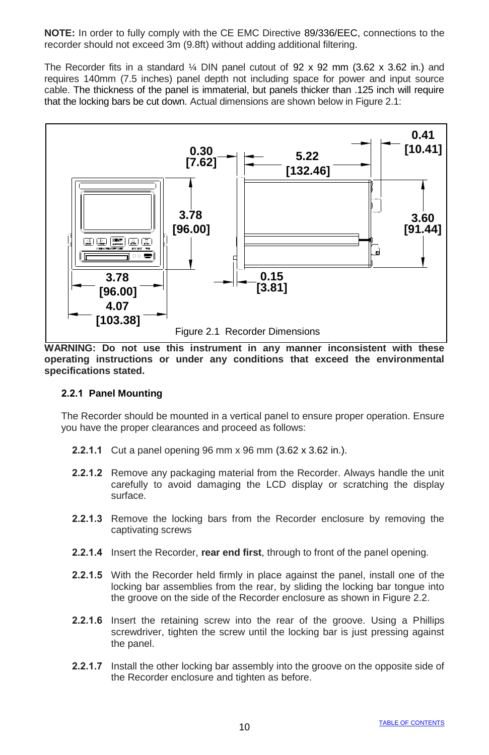**NOTE:** In order to fully comply with the CE EMC Directive 89/336/EEC, connections to the recorder should not exceed 3m (9.8ft) without adding additional filtering.

The Recorder fits in a standard  $\frac{1}{4}$  DIN panel cutout of 92 x 92 mm (3.62 x 3.62 in.) and requires 140mm (7.5 inches) panel depth not including space for power and input source cable. The thickness of the panel is immaterial, but panels thicker than .125 inch will require that the locking bars be cut down. Actual dimensions are shown below in Figure 2.1:



**WARNING: Do not use this instrument in any manner inconsistent with these operating instructions or under any conditions that exceed the environmental specifications stated.**

#### **2.2.1 Panel Mounting**

The Recorder should be mounted in a vertical panel to ensure proper operation. Ensure you have the proper clearances and proceed as follows:

- **2.2.1.1** Cut a panel opening 96 mm x 96 mm (3.62 x 3.62 in.).
- **2.2.1.2** Remove any packaging material from the Recorder. Always handle the unit carefully to avoid damaging the LCD display or scratching the display surface.
- **2.2.1.3** Remove the locking bars from the Recorder enclosure by removing the captivating screws
- **2.2.1.4** Insert the Recorder, **rear end first**, through to front of the panel opening.
- **2.2.1.5** With the Recorder held firmly in place against the panel, install one of the locking bar assemblies from the rear, by sliding the locking bar tongue into the groove on the side of the Recorder enclosure as shown in Figure 2.2.
- **2.2.1.6** Insert the retaining screw into the rear of the groove. Using a Phillips screwdriver, tighten the screw until the locking bar is just pressing against the panel.
- **2.2.1.7** Install the other locking bar assembly into the groove on the opposite side of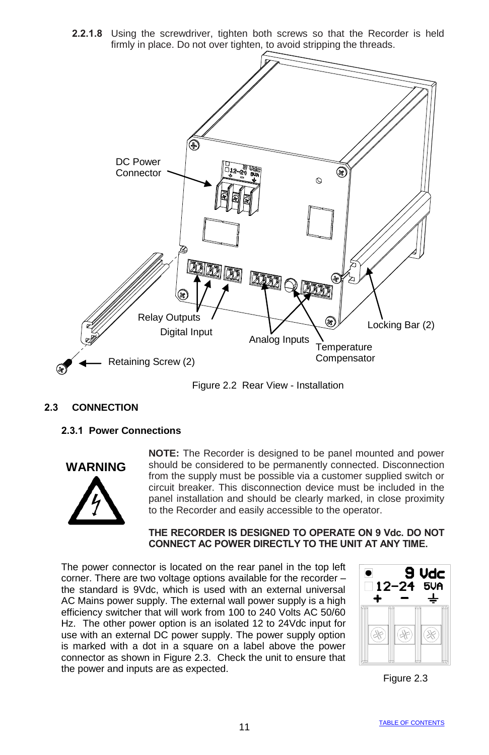**2.2.1.8** Using the screwdriver, tighten both screws so that the Recorder is held firmly in place. Do not over tighten, to avoid stripping the threads.



Figure 2.2 Rear View - Installation

### **2.3 CONNECTION**

**2.3.1 Power Connections**



**NOTE:** The Recorder is designed to be panel mounted and power should be considered to be permanently connected. Disconnection from the supply must be possible via a customer supplied switch or circuit breaker. This disconnection device must be included in the panel installation and should be clearly marked, in close proximity to the Recorder and easily accessible to the operator.

#### **THE RECORDER IS DESIGNED TO OPERATE ON 9 Vdc. DO NOT CONNECT AC POWER DIRECTLY TO THE UNIT AT ANY TIME.**

The power connector is located on the rear panel in the top left corner. There are two voltage options available for the recorder – the standard is 9Vdc, which is used with an external universal AC Mains power supply. The external wall power supply is a high efficiency switcher that will work from 100 to 240 Volts AC 50/60 Hz. The other power option is an isolated 12 to 24Vdc input for use with an external DC power supply. The power supply option is marked with a dot in a square on a label above the power connector as shown in Figure 2.3. Check the unit to ensure that the power and inputs are as expected.



Figure 2.3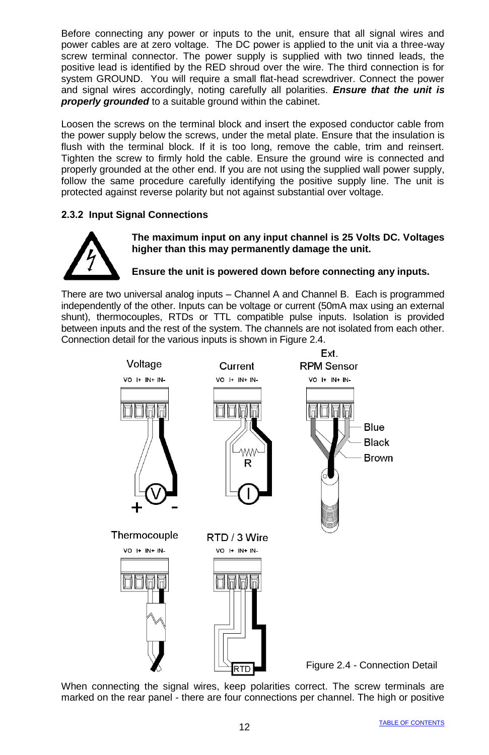Before connecting any power or inputs to the unit, ensure that all signal wires and power cables are at zero voltage. The DC power is applied to the unit via a three-way screw terminal connector. The power supply is supplied with two tinned leads, the positive lead is identified by the RED shroud over the wire. The third connection is for system GROUND. You will require a small flat-head screwdriver. Connect the power and signal wires accordingly, noting carefully all polarities. *Ensure that the unit is properly grounded* to a suitable ground within the cabinet.

Loosen the screws on the terminal block and insert the exposed conductor cable from the power supply below the screws, under the metal plate. Ensure that the insulation is flush with the terminal block. If it is too long, remove the cable, trim and reinsert. Tighten the screw to firmly hold the cable. Ensure the ground wire is connected and properly grounded at the other end. If you are not using the supplied wall power supply, follow the same procedure carefully identifying the positive supply line. The unit is protected against reverse polarity but not against substantial over voltage.

### **2.3.2 Input Signal Connections**



**The maximum input on any input channel is 25 Volts DC. Voltages higher than this may permanently damage the unit.**

**Ensure the unit is powered down before connecting any inputs.**

There are two universal analog inputs – Channel A and Channel B. Each is programmed independently of the other. Inputs can be voltage or current (50mA max using an external shunt), thermocouples, RTDs or TTL compatible pulse inputs. Isolation is provided between inputs and the rest of the system. The channels are not isolated from each other. Connection detail for the various inputs is shown in Figure 2.4.



When connecting the signal wires, keep polarities correct. The screw terminals are marked on the rear panel - there are four connections per channel. The high or positive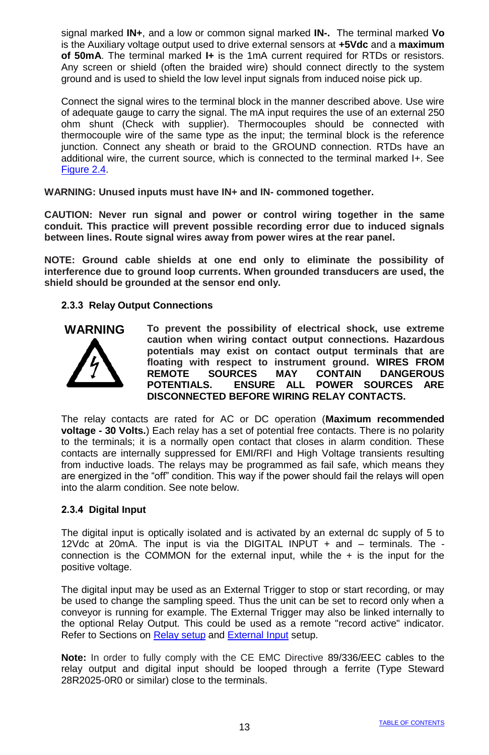signal marked **IN+**, and a low or common signal marked **IN-.** The terminal marked **Vo** is the Auxiliary voltage output used to drive external sensors at **+5Vdc** and a **maximum of 50mA**. The terminal marked **I+** is the 1mA current required for RTDs or resistors. Any screen or shield (often the braided wire) should connect directly to the system ground and is used to shield the low level input signals from induced noise pick up.

Connect the signal wires to the terminal block in the manner described above. Use wire of adequate gauge to carry the signal. The mA input requires the use of an external 250 ohm shunt (Check with supplier). Thermocouples should be connected with thermocouple wire of the same type as the input; the terminal block is the reference junction. Connect any sheath or braid to the GROUND connection. RTDs have an additional wire, the current source, which is connected to the terminal marked I+. See Figure 2.4.

**WARNING: Unused inputs must have IN+ and IN- commoned together.**

**CAUTION: Never run signal and power or control wiring together in the same conduit. This practice will prevent possible recording error due to induced signals between lines. Route signal wires away from power wires at the rear panel.**

**NOTE: Ground cable shields at one end only to eliminate the possibility of interference due to ground loop currents. When grounded transducers are used, the shield should be grounded at the sensor end only.**

#### **2.3.3 Relay Output Connections**



**To prevent the possibility of electrical shock, use extreme caution when wiring contact output connections. Hazardous potentials may exist on contact output terminals that are floating with respect to instrument ground. WIRES FROM REMOTE SOURCES MAY CONTAIN DANGEROUS POTENTIALS. ENSURE ALL POWER SOURCES ARE DISCONNECTED BEFORE WIRING RELAY CONTACTS.**

The relay contacts are rated for AC or DC operation (**Maximum recommended voltage - 30 Volts.**) Each relay has a set of potential free contacts. There is no polarity to the terminals; it is a normally open contact that closes in alarm condition. These contacts are internally suppressed for EMI/RFI and High Voltage transients resulting from inductive loads. The relays may be programmed as fail safe, which means they are energized in the "off" condition. This way if the power should fail the relays will open into the alarm condition. See note below.

#### **2.3.4 Digital Input**

The digital input is optically isolated and is activated by an external dc supply of 5 to 12Vdc at 20mA. The input is via the DIGITAL INPUT + and – terminals. The connection is the COMMON for the external input, while the  $+$  is the input for the positive voltage.

The digital input may be used as an External Trigger to stop or start recording, or may be used to change the sampling speed. Thus the unit can be set to record only when a conveyor is running for example. The External Trigger may also be linked internally to the optional Relay Output. This could be used as a remote "record active" indicator. Refer to Sections on Relay setup and External Input setup.

**Note:** In order to fully comply with the CE EMC Directive 89/336/EEC cables to the relay output and digital input should be looped through a ferrite (Type Steward 28R2025-0R0 or similar) close to the terminals.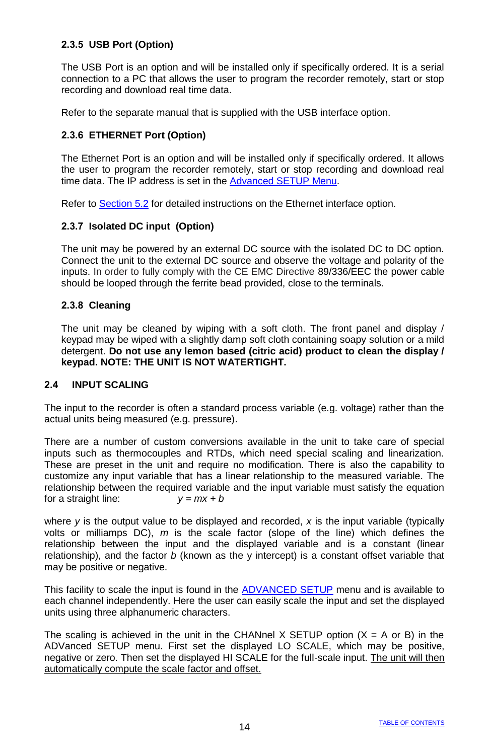### **2.3.5 USB Port (Option)**

The USB Port is an option and will be installed only if specifically ordered. It is a serial connection to a PC that allows the user to program the recorder remotely, start or stop recording and download real time data.

Refer to the separate manual that is supplied with the USB interface option.

### **2.3.6 ETHERNET Port (Option)**

The Ethernet Port is an option and will be installed only if specifically ordered. It allows the user to program the recorder remotely, start or stop recording and download real time data. The IP address is set in the Advanced SETUP Menu.

Refer to Section 5.2 for detailed instructions on the Ethernet interface option.

#### **2.3.7 Isolated DC input (Option)**

The unit may be powered by an external DC source with the isolated DC to DC option. Connect the unit to the external DC source and observe the voltage and polarity of the inputs. In order to fully comply with the CE EMC Directive 89/336/EEC the power cable should be looped through the ferrite bead provided, close to the terminals.

#### **2.3.8 Cleaning**

The unit may be cleaned by wiping with a soft cloth. The front panel and display / keypad may be wiped with a slightly damp soft cloth containing soapy solution or a mild detergent. **Do not use any lemon based (citric acid) product to clean the display / keypad. NOTE: THE UNIT IS NOT WATERTIGHT.**

#### **2.4 INPUT SCALING**

The input to the recorder is often a standard process variable (e.g. voltage) rather than the actual units being measured (e.g. pressure).

There are a number of custom conversions available in the unit to take care of special inputs such as thermocouples and RTDs, which need special scaling and linearization. These are preset in the unit and require no modification. There is also the capability to customize any input variable that has a linear relationship to the measured variable. The relationship between the required variable and the input variable must satisfy the equation for a straight line:  $y = mx + b$ 

where *y* is the output value to be displayed and recorded, *x* is the input variable (typically volts or milliamps DC), *m* is the scale factor (slope of the line) which defines the relationship between the input and the displayed variable and is a constant (linear relationship), and the factor *b* (known as the y intercept) is a constant offset variable that may be positive or negative.

This facility to scale the input is found in the ADVANCED SETUP menu and is available to each channel independently. Here the user can easily scale the input and set the displayed units using three alphanumeric characters.

The scaling is achieved in the unit in the CHANnel X SETUP option  $(X = A \text{ or } B)$  in the ADVanced SETUP menu. First set the displayed LO SCALE, which may be positive, negative or zero. Then set the displayed HI SCALE for the full-scale input. The unit will then automatically compute the scale factor and offset.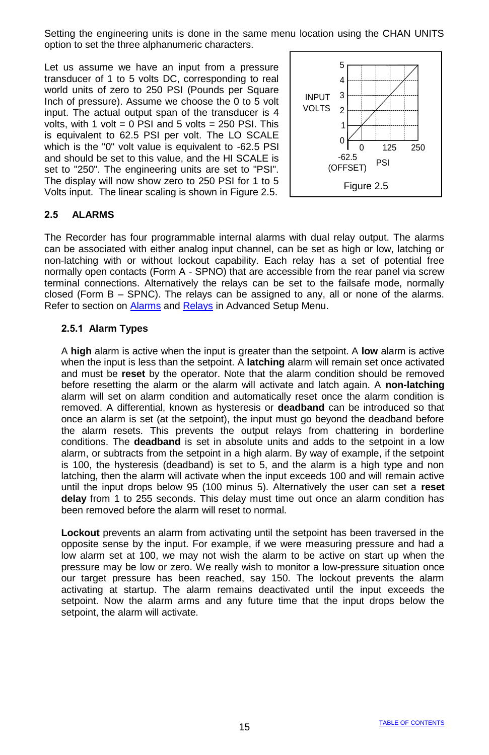Setting the engineering units is done in the same menu location using the CHAN UNITS option to set the three alphanumeric characters.

Let us assume we have an input from a pressure transducer of 1 to 5 volts DC, corresponding to real world units of zero to 250 PSI (Pounds per Square Inch of pressure). Assume we choose the 0 to 5 volt input. The actual output span of the transducer is 4 volts, with 1 volt =  $0$  PSI and 5 volts = 250 PSI. This is equivalent to 62.5 PSI per volt. The LO SCALE which is the "0" volt value is equivalent to -62.5 PSI and should be set to this value, and the HI SCALE is set to "250". The engineering units are set to "PSI". The display will now show zero to 250 PSI for 1 to 5 Volts input. The linear scaling is shown in Figure 2.5.



### **2.5 ALARMS**

The Recorder has four programmable internal alarms with dual relay output. The alarms can be associated with either analog input channel, can be set as high or low, latching or non-latching with or without lockout capability. Each relay has a set of potential free normally open contacts (Form A - SPNO) that are accessible from the rear panel via screw terminal connections. Alternatively the relays can be set to the failsafe mode, normally closed (Form B – SPNC). The relays can be assigned to any, all or none of the alarms. Refer to section on Alarms and Relays in Advanced Setup Menu.

#### **2.5.1 Alarm Types**

A **high** alarm is active when the input is greater than the setpoint. A **low** alarm is active when the input is less than the setpoint. A **latching** alarm will remain set once activated and must be **reset** by the operator. Note that the alarm condition should be removed before resetting the alarm or the alarm will activate and latch again. A **non-latching** alarm will set on alarm condition and automatically reset once the alarm condition is removed. A differential, known as hysteresis or **deadband** can be introduced so that once an alarm is set (at the setpoint), the input must go beyond the deadband before the alarm resets. This prevents the output relays from chattering in borderline conditions. The **deadband** is set in absolute units and adds to the setpoint in a low alarm, or subtracts from the setpoint in a high alarm. By way of example, if the setpoint is 100, the hysteresis (deadband) is set to 5, and the alarm is a high type and non latching, then the alarm will activate when the input exceeds 100 and will remain active until the input drops below 95 (100 minus 5). Alternatively the user can set a **reset delay** from 1 to 255 seconds. This delay must time out once an alarm condition has been removed before the alarm will reset to normal.

**Lockout** prevents an alarm from activating until the setpoint has been traversed in the opposite sense by the input. For example, if we were measuring pressure and had a low alarm set at 100, we may not wish the alarm to be active on start up when the pressure may be low or zero. We really wish to monitor a low-pressure situation once our target pressure has been reached, say 150. The lockout prevents the alarm activating at startup. The alarm remains deactivated until the input exceeds the setpoint. Now the alarm arms and any future time that the input drops below the setpoint, the alarm will activate.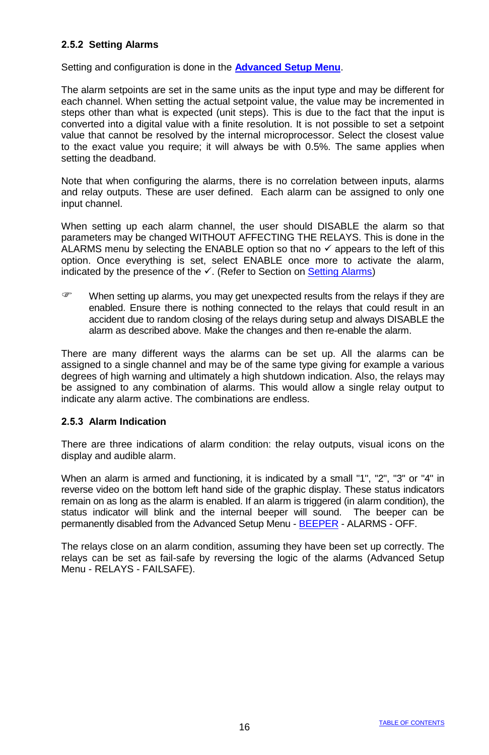### **2.5.2 Setting Alarms**

Setting and configuration is done in the **Advanced Setup Menu**.

The alarm setpoints are set in the same units as the input type and may be different for each channel. When setting the actual setpoint value, the value may be incremented in steps other than what is expected (unit steps). This is due to the fact that the input is converted into a digital value with a finite resolution. It is not possible to set a setpoint value that cannot be resolved by the internal microprocessor. Select the closest value to the exact value you require; it will always be with 0.5%. The same applies when setting the deadband.

Note that when configuring the alarms, there is no correlation between inputs, alarms and relay outputs. These are user defined. Each alarm can be assigned to only one input channel.

When setting up each alarm channel, the user should DISABLE the alarm so that parameters may be changed WITHOUT AFFECTING THE RELAYS. This is done in the ALARMS menu by selecting the ENABLE option so that no  $\checkmark$  appears to the left of this option. Once everything is set, select ENABLE once more to activate the alarm, indicated by the presence of the  $\checkmark$ . (Refer to Section on Setting Alarms)

When setting up alarms, you may get unexpected results from the relays if they are enabled. Ensure there is nothing connected to the relays that could result in an accident due to random closing of the relays during setup and always DISABLE the alarm as described above. Make the changes and then re-enable the alarm.

There are many different ways the alarms can be set up. All the alarms can be assigned to a single channel and may be of the same type giving for example a various degrees of high warning and ultimately a high shutdown indication. Also, the relays may be assigned to any combination of alarms. This would allow a single relay output to indicate any alarm active. The combinations are endless.

#### **2.5.3 Alarm Indication**

There are three indications of alarm condition: the relay outputs, visual icons on the display and audible alarm.

When an alarm is armed and functioning, it is indicated by a small "1", "2", "3" or "4" in reverse video on the bottom left hand side of the graphic display. These status indicators remain on as long as the alarm is enabled. If an alarm is triggered (in alarm condition), the status indicator will blink and the internal beeper will sound. The beeper can be permanently disabled from the Advanced Setup Menu - BEEPER - ALARMS - OFF.

The relays close on an alarm condition, assuming they have been set up correctly. The relays can be set as fail-safe by reversing the logic of the alarms (Advanced Setup Menu - RELAYS - FAILSAFE).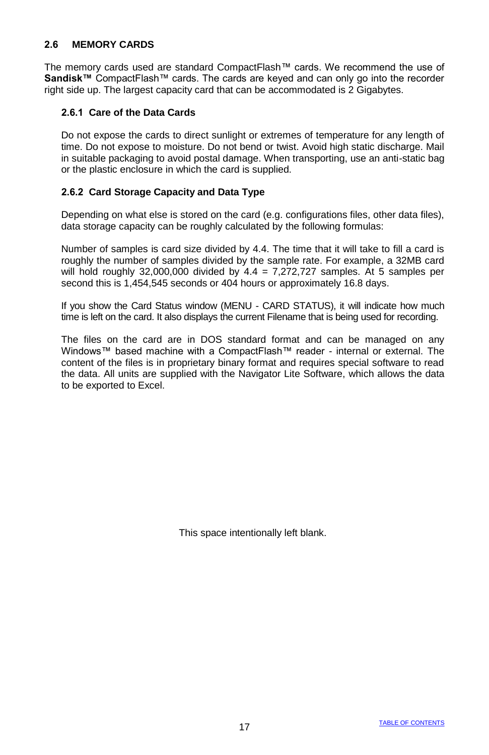### **2.6 MEMORY CARDS**

The memory cards used are standard CompactFlash™ cards. We recommend the use of **Sandisk™** CompactFlash™ cards. The cards are keyed and can only go into the recorder right side up. The largest capacity card that can be accommodated is 2 Gigabytes.

#### **2.6.1 Care of the Data Cards**

Do not expose the cards to direct sunlight or extremes of temperature for any length of time. Do not expose to moisture. Do not bend or twist. Avoid high static discharge. Mail in suitable packaging to avoid postal damage. When transporting, use an anti-static bag or the plastic enclosure in which the card is supplied.

#### **2.6.2 Card Storage Capacity and Data Type**

Depending on what else is stored on the card (e.g. configurations files, other data files), data storage capacity can be roughly calculated by the following formulas:

Number of samples is card size divided by 4.4. The time that it will take to fill a card is roughly the number of samples divided by the sample rate. For example, a 32MB card will hold roughly 32,000,000 divided by  $4.4 = 7,272,727$  samples. At 5 samples per second this is 1,454,545 seconds or 404 hours or approximately 16.8 days.

If you show the Card Status window (MENU - CARD STATUS), it will indicate how much time is left on the card. It also displays the current Filename that is being used for recording.

The files on the card are in DOS standard format and can be managed on any Windows™ based machine with a CompactFlash™ reader - internal or external. The content of the files is in proprietary binary format and requires special software to read the data. All units are supplied with the Navigator Lite Software, which allows the data to be exported to Excel.

This space intentionally left blank.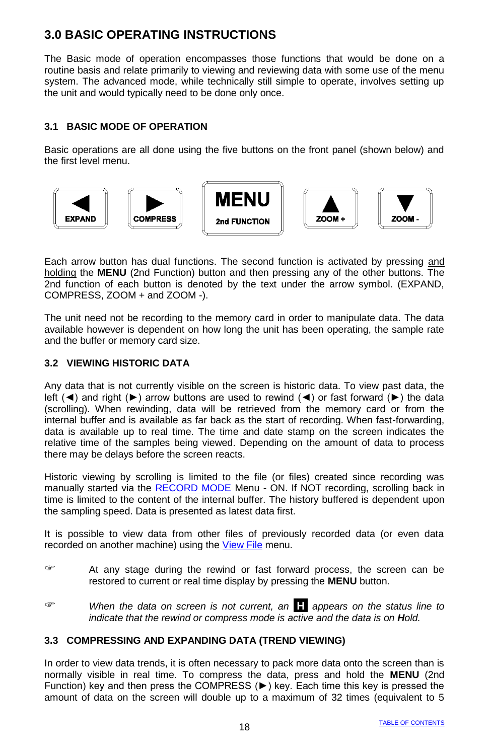# **3.0 BASIC OPERATING INSTRUCTIONS**

The Basic mode of operation encompasses those functions that would be done on a routine basis and relate primarily to viewing and reviewing data with some use of the menu system. The advanced mode, while technically still simple to operate, involves setting up the unit and would typically need to be done only once.

### **3.1 BASIC MODE OF OPERATION**

Basic operations are all done using the five buttons on the front panel (shown below) and the first level menu.



Each arrow button has dual functions. The second function is activated by pressing and holding the **MENU** (2nd Function) button and then pressing any of the other buttons. The 2nd function of each button is denoted by the text under the arrow symbol. (EXPAND, COMPRESS, ZOOM + and ZOOM -).

The unit need not be recording to the memory card in order to manipulate data. The data available however is dependent on how long the unit has been operating, the sample rate and the buffer or memory card size.

### **3.2 VIEWING HISTORIC DATA**

Any data that is not currently visible on the screen is historic data. To view past data, the left (◄) and right (►) arrow buttons are used to rewind (◄) or fast forward (►) the data (scrolling). When rewinding, data will be retrieved from the memory card or from the internal buffer and is available as far back as the start of recording. When fast-forwarding, data is available up to real time. The time and date stamp on the screen indicates the relative time of the samples being viewed. Depending on the amount of data to process there may be delays before the screen reacts.

Historic viewing by scrolling is limited to the file (or files) created since recording was manually started via the RECORD MODE Menu - ON. If NOT recording, scrolling back in time is limited to the content of the internal buffer. The history buffered is dependent upon the sampling speed. Data is presented as latest data first.

It is possible to view data from other files of previously recorded data (or even data recorded on another machine) using the View File menu.

- At any stage during the rewind or fast forward process, the screen can be restored to current or real time display by pressing the **MENU** button.
- *When the data on screen is not current, an* **.H.** *appears on the status line to indicate that the rewind or compress mode is active and the data is on Hold.*

### **3.3 COMPRESSING AND EXPANDING DATA (TREND VIEWING)**

In order to view data trends, it is often necessary to pack more data onto the screen than is normally visible in real time. To compress the data, press and hold the **MENU** (2nd Function) key and then press the COMPRESS  $(\blacktriangleright)$  key. Each time this key is pressed the amount of data on the screen will double up to a maximum of 32 times (equivalent to 5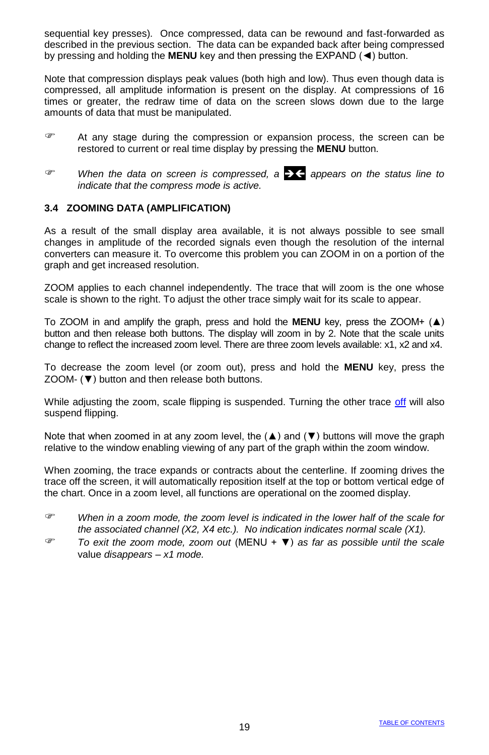sequential key presses). Once compressed, data can be rewound and fast-forwarded as described in the previous section. The data can be expanded back after being compressed by pressing and holding the **MENU** key and then pressing the EXPAND (◄) button.

Note that compression displays peak values (both high and low). Thus even though data is compressed, all amplitude information is present on the display. At compressions of 16 times or greater, the redraw time of data on the screen slows down due to the large amounts of data that must be manipulated.

- At any stage during the compression or expansion process, the screen can be restored to current or real time display by pressing the **MENU** button.
- *When the data on screen is compressed, a appears on the status line to indicate that the compress mode is active.*

#### **3.4 ZOOMING DATA (AMPLIFICATION)**

As a result of the small display area available, it is not always possible to see small changes in amplitude of the recorded signals even though the resolution of the internal converters can measure it. To overcome this problem you can ZOOM in on a portion of the graph and get increased resolution.

ZOOM applies to each channel independently. The trace that will zoom is the one whose scale is shown to the right. To adjust the other trace simply wait for its scale to appear.

To ZOOM in and amplify the graph, press and hold the **MENU** key, press the ZOOM+ (▲) button and then release both buttons. The display will zoom in by 2. Note that the scale units change to reflect the increased zoom level. There are three zoom levels available: x1, x2 and x4.

To decrease the zoom level (or zoom out), press and hold the **MENU** key, press the ZOOM- (▼) button and then release both buttons.

While adjusting the zoom, scale flipping is suspended. Turning the other trace off will also suspend flipping.

Note that when zoomed in at any zoom level, the  $(\triangle)$  and  $(\blacktriangledown)$  buttons will move the graph relative to the window enabling viewing of any part of the graph within the zoom window.

When zooming, the trace expands or contracts about the centerline. If zooming drives the trace off the screen, it will automatically reposition itself at the top or bottom vertical edge of the chart. Once in a zoom level, all functions are operational on the zoomed display.

- *When in a zoom mode, the zoom level is indicated in the lower half of the scale for the associated channel (X2, X4 etc.). No indication indicates normal scale (X1).*
- *To exit the zoom mode, zoom out* (MENU + ▼) *as far as possible until the scale* value *disappears – x1 mode.*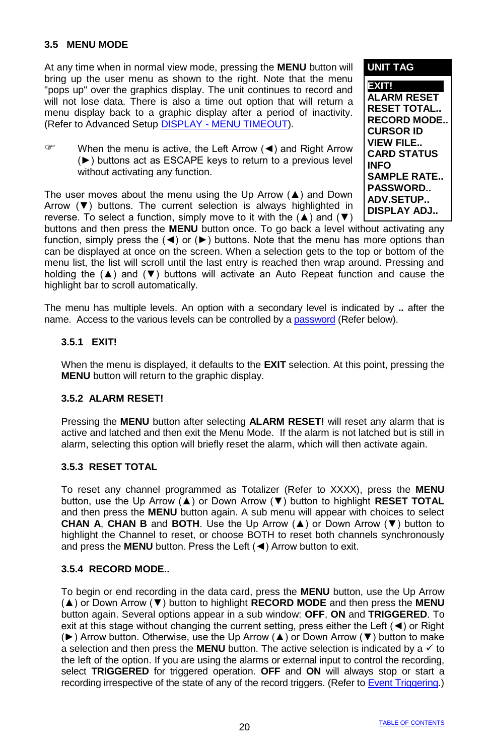### **3.5 MENU MODE**

At any time when in normal view mode, pressing the **MENU** button will bring up the user menu as shown to the right. Note that the menu "pops up" over the graphics display. The unit continues to record and will not lose data. There is also a time out option that will return a menu display back to a graphic display after a period of inactivity. (Refer to Advanced Setup DISPLAY - MENU TIMEOUT).

 When the menu is active, the Left Arrow (◄) and Right Arrow (►) buttons act as ESCAPE keys to return to a previous level without activating any function.

The user moves about the menu using the Up Arrow  $(4)$  and Down Arrow (▼) buttons. The current selection is always highlighted in reverse. To select a function, simply move to it with the  $(4)$  and  $(4)$  **EXIT! ALARM RESET RESET TOTAL.. RECORD MODE.. CURSOR ID VIEW FILE.. CARD STATUS INFO SAMPLE RATE.. PASSWORD.. ADV.SETUP.. DISPLAY ADJ..**

**UNIT TAG**

buttons and then press the **MENU** button once. To go back a level without activating any function, simply press the  $(4)$  or  $(_F)$  buttons. Note that the menu has more options than can be displayed at once on the screen. When a selection gets to the top or bottom of the menu list, the list will scroll until the last entry is reached then wrap around. Pressing and holding the (▲) and (▼) buttons will activate an Auto Repeat function and cause the highlight bar to scroll automatically.

The menu has multiple levels. An option with a secondary level is indicated by **..** after the name. Access to the various levels can be controlled by a password (Refer below).

### **3.5.1 EXIT!**

When the menu is displayed, it defaults to the **EXIT** selection. At this point, pressing the **MENU** button will return to the graphic display.

#### **3.5.2 ALARM RESET!**

Pressing the **MENU** button after selecting **ALARM RESET!** will reset any alarm that is active and latched and then exit the Menu Mode. If the alarm is not latched but is still in alarm, selecting this option will briefly reset the alarm, which will then activate again.

#### **3.5.3 RESET TOTAL**

To reset any channel programmed as Totalizer (Refer to XXXX), press the **MENU** button, use the Up Arrow (▲) or Down Arrow (▼) button to highlight **RESET TOTAL** and then press the **MENU** button again. A sub menu will appear with choices to select **CHAN A**, **CHAN B** and **BOTH**. Use the Up Arrow (▲) or Down Arrow (▼) button to highlight the Channel to reset, or choose BOTH to reset both channels synchronously and press the **MENU** button. Press the Left (◄) Arrow button to exit.

#### **3.5.4 RECORD MODE..**

To begin or end recording in the data card, press the **MENU** button, use the Up Arrow (▲) or Down Arrow (▼) button to highlight **RECORD MODE** and then press the **MENU** button again. Several options appear in a sub window: **OFF**, **ON** and **TRIGGERED**. To exit at this stage without changing the current setting, press either the Left (◄) or Right (►) Arrow button. Otherwise, use the Up Arrow (▲) or Down Arrow (▼) button to make a selection and then press the **MENU** button. The active selection is indicated by a  $\checkmark$  to the left of the option. If you are using the alarms or external input to control the recording, select **TRIGGERED** for triggered operation. **OFF** and **ON** will always stop or start a recording irrespective of the state of any of the record triggers. (Refer to Event Triggering.)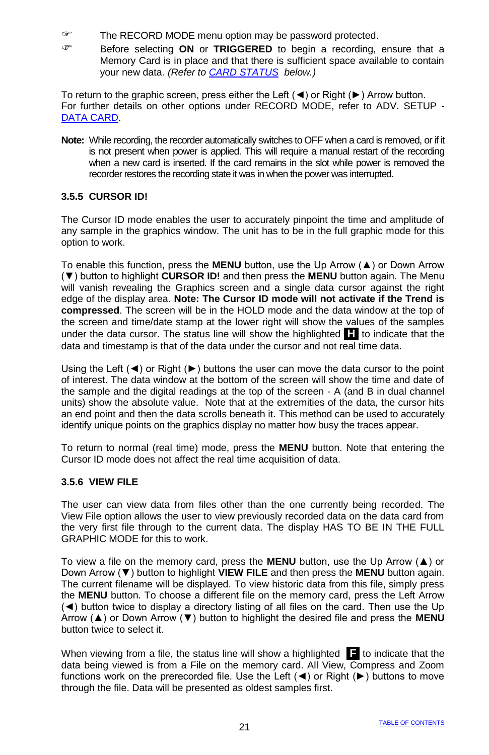- The RECORD MODE menu option may be password protected.
- Before selecting **ON** or **TRIGGERED** to begin a recording, ensure that a Memory Card is in place and that there is sufficient space available to contain your new data. *(Refer to CARD STATUS below.)*

To return to the graphic screen, press either the Left (◄) or Right (►) Arrow button. For further details on other options under RECORD MODE, refer to ADV. SETUP - DATA CARD.

**Note:** While recording, the recorder automatically switches to OFF when a card is removed, or if it is not present when power is applied. This will require a manual restart of the recording when a new card is inserted. If the card remains in the slot while power is removed the recorder restores the recording state it was in when the power was interrupted.

#### **3.5.5 CURSOR ID!**

The Cursor ID mode enables the user to accurately pinpoint the time and amplitude of any sample in the graphics window. The unit has to be in the full graphic mode for this option to work.

To enable this function, press the **MENU** button, use the Up Arrow (▲) or Down Arrow (▼) button to highlight **CURSOR ID!** and then press the **MENU** button again. The Menu will vanish revealing the Graphics screen and a single data cursor against the right edge of the display area. **Note: The Cursor ID mode will not activate if the Trend is compressed**. The screen will be in the HOLD mode and the data window at the top of the screen and time/date stamp at the lower right will show the values of the samples under the data cursor. The status line will show the highlighted **.H.** to indicate that the data and timestamp is that of the data under the cursor and not real time data.

Using the Left  $(\blacktriangle)$  or Right  $(\blacktriangleright)$  buttons the user can move the data cursor to the point of interest. The data window at the bottom of the screen will show the time and date of the sample and the digital readings at the top of the screen - A (and B in dual channel units) show the absolute value. Note that at the extremities of the data, the cursor hits an end point and then the data scrolls beneath it. This method can be used to accurately identify unique points on the graphics display no matter how busy the traces appear.

To return to normal (real time) mode, press the **MENU** button. Note that entering the Cursor ID mode does not affect the real time acquisition of data.

#### **3.5.6 VIEW FILE**

The user can view data from files other than the one currently being recorded. The View File option allows the user to view previously recorded data on the data card from the very first file through to the current data. The display HAS TO BE IN THE FULL GRAPHIC MODE for this to work.

To view a file on the memory card, press the **MENU** button, use the Up Arrow (▲) or Down Arrow (▼) button to highlight **VIEW FILE** and then press the **MENU** button again. The current filename will be displayed. To view historic data from this file, simply press the **MENU** button. To choose a different file on the memory card, press the Left Arrow (◄) button twice to display a directory listing of all files on the card. Then use the Up Arrow (▲) or Down Arrow (▼) button to highlight the desired file and press the **MENU** button twice to select it.

When viewing from a file, the status line will show a highlighted **.F.** to indicate that the data being viewed is from a File on the memory card. All View, Compress and Zoom functions work on the prerecorded file. Use the Left (◄) or Right (►) buttons to move through the file. Data will be presented as oldest samples first.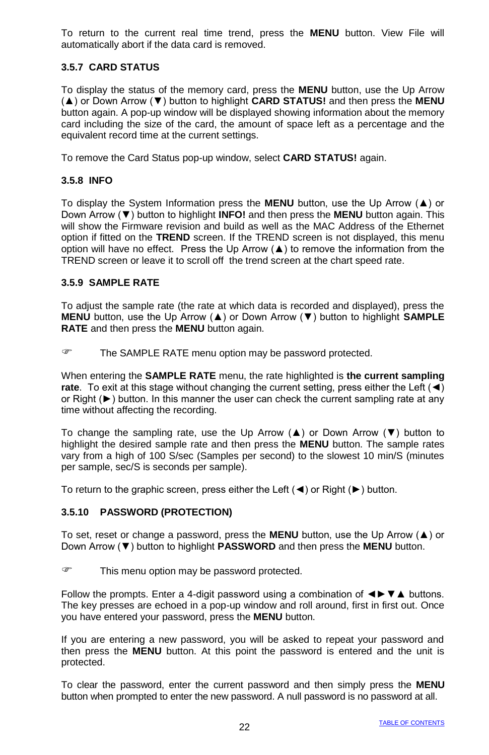To return to the current real time trend, press the **MENU** button. View File will automatically abort if the data card is removed.

### **3.5.7 CARD STATUS**

To display the status of the memory card, press the **MENU** button, use the Up Arrow (▲) or Down Arrow (▼) button to highlight **CARD STATUS!** and then press the **MENU** button again. A pop-up window will be displayed showing information about the memory card including the size of the card, the amount of space left as a percentage and the equivalent record time at the current settings.

To remove the Card Status pop-up window, select **CARD STATUS!** again.

#### **3.5.8 INFO**

To display the System Information press the **MENU** button, use the Up Arrow (▲) or Down Arrow (▼) button to highlight **INFO!** and then press the **MENU** button again. This will show the Firmware revision and build as well as the MAC Address of the Ethernet option if fitted on the **TREND** screen. If the TREND screen is not displayed, this menu option will have no effect. Press the Up Arrow  $(\triangle)$  to remove the information from the TREND screen or leave it to scroll off the trend screen at the chart speed rate.

#### **3.5.9 SAMPLE RATE**

To adjust the sample rate (the rate at which data is recorded and displayed), press the **MENU** button, use the Up Arrow (▲) or Down Arrow (▼) button to highlight **SAMPLE RATE** and then press the **MENU** button again.

The SAMPLE RATE menu option may be password protected.

When entering the **SAMPLE RATE** menu, the rate highlighted is **the current sampling rate**. To exit at this stage without changing the current setting, press either the Left (◀) or Right (►) button. In this manner the user can check the current sampling rate at any time without affecting the recording.

To change the sampling rate, use the Up Arrow (▲) or Down Arrow (▼) button to highlight the desired sample rate and then press the **MENU** button. The sample rates vary from a high of 100 S/sec (Samples per second) to the slowest 10 min/S (minutes per sample, sec/S is seconds per sample).

To return to the graphic screen, press either the Left (◄) or Right (►) button.

#### **3.5.10 PASSWORD (PROTECTION)**

To set, reset or change a password, press the **MENU** button, use the Up Arrow (▲) or Down Arrow (▼) button to highlight **PASSWORD** and then press the **MENU** button.

This menu option may be password protected.

Follow the prompts. Enter a 4-digit password using a combination of ◄►▼▲ buttons. The key presses are echoed in a pop-up window and roll around, first in first out. Once you have entered your password, press the **MENU** button.

If you are entering a new password, you will be asked to repeat your password and then press the **MENU** button. At this point the password is entered and the unit is protected.

To clear the password, enter the current password and then simply press the **MENU** button when prompted to enter the new password. A null password is no password at all.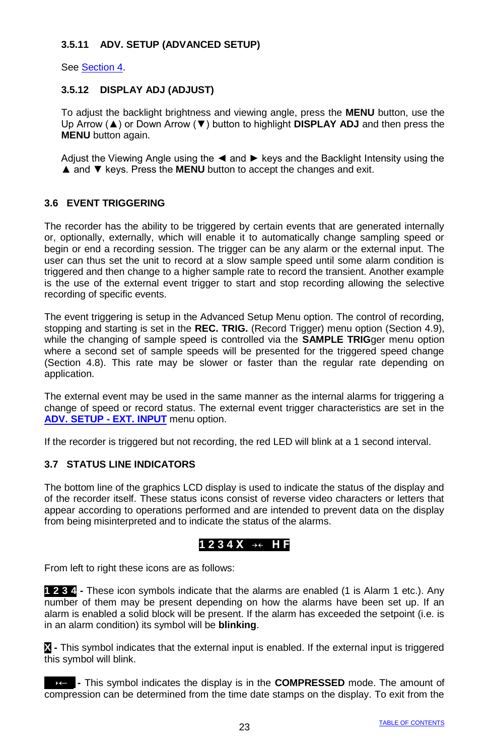### **3.5.11 ADV. SETUP (ADVANCED SETUP)**

See Section 4.

### **3.5.12 DISPLAY ADJ (ADJUST)**

To adjust the backlight brightness and viewing angle, press the **MENU** button, use the Up Arrow (▲) or Down Arrow (▼) button to highlight **DISPLAY ADJ** and then press the **MENU** button again.

Adjust the Viewing Angle using the ◄ and ► keys and the Backlight Intensity using the ▲ and ▼ keys. Press the **MENU** button to accept the changes and exit.

### **3.6 EVENT TRIGGERING**

The recorder has the ability to be triggered by certain events that are generated internally or, optionally, externally, which will enable it to automatically change sampling speed or begin or end a recording session. The trigger can be any alarm or the external input. The user can thus set the unit to record at a slow sample speed until some alarm condition is triggered and then change to a higher sample rate to record the transient. Another example is the use of the external event trigger to start and stop recording allowing the selective recording of specific events.

The event triggering is setup in the Advanced Setup Menu option. The control of recording, stopping and starting is set in the **REC. TRIG.** (Record Trigger) menu option (Section 4.9), while the changing of sample speed is controlled via the **SAMPLE TRIG**ger menu option where a second set of sample speeds will be presented for the triggered speed change (Section 4.8). This rate may be slower or faster than the regular rate depending on application.

The external event may be used in the same manner as the internal alarms for triggering a change of speed or record status. The external event trigger characteristics are set in the **ADV. SETUP - EXT. INPUT** menu option.

If the recorder is triggered but not recording, the red LED will blink at a 1 second interval.

### **3.7 STATUS LINE INDICATORS**

The bottom line of the graphics LCD display is used to indicate the status of the display and of the recorder itself. These status icons consist of reverse video characters or letters that appear according to operations performed and are intended to prevent data on the display from being misinterpreted and to indicate the status of the alarms.

### **1 2 3 4 X →← H F**

From left to right these icons are as follows:

**1 2 3 4 -** These icon symbols indicate that the alarms are enabled (1 is Alarm 1 etc.). Any number of them may be present depending on how the alarms have been set up. If an alarm is enabled a solid block will be present. If the alarm has exceeded the setpoint (i.e. is in an alarm condition) its symbol will be **blinking**.

**X -** This symbol indicates that the external input is enabled. If the external input is triggered this symbol will blink.

**→← -** This symbol indicates the display is in the **COMPRESSED** mode. The amount of compression can be determined from the time date stamps on the display. To exit from the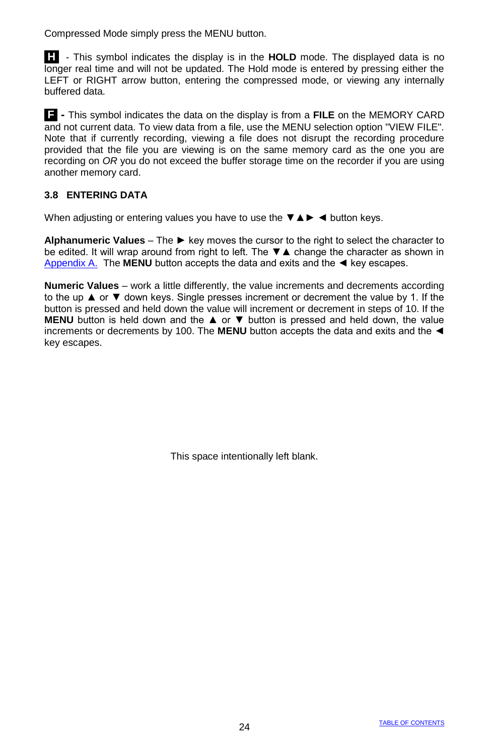Compressed Mode simply press the MENU button.

**.H..** - This symbol indicates the display is in the **HOLD** mode. The displayed data is no longer real time and will not be updated. The Hold mode is entered by pressing either the LEFT or RIGHT arrow button, entering the compressed mode, or viewing any internally buffered data.

**.F. -** This symbol indicates the data on the display is from a **FILE** on the MEMORY CARD and not current data. To view data from a file, use the MENU selection option "VIEW FILE". Note that if currently recording, viewing a file does not disrupt the recording procedure provided that the file you are viewing is on the same memory card as the one you are recording on *OR* you do not exceed the buffer storage time on the recorder if you are using another memory card.

### **3.8 ENTERING DATA**

When adjusting or entering values you have to use the  $\blacktriangledown$  A  $\blacktriangleright$  < button keys.

**Alphanumeric Values** – The ► key moves the cursor to the right to select the character to be edited. It will wrap around from right to left. The ▼▲ change the character as shown in Appendix A. The **MENU** button accepts the data and exits and the ◄ key escapes.

**Numeric Values** – work a little differently, the value increments and decrements according to the up ▲ or ▼ down keys. Single presses increment or decrement the value by 1. If the button is pressed and held down the value will increment or decrement in steps of 10. If the **MENU** button is held down and the **A** or **▼** button is pressed and held down, the value increments or decrements by 100. The **MENU** button accepts the data and exits and the ◄ key escapes.

This space intentionally left blank.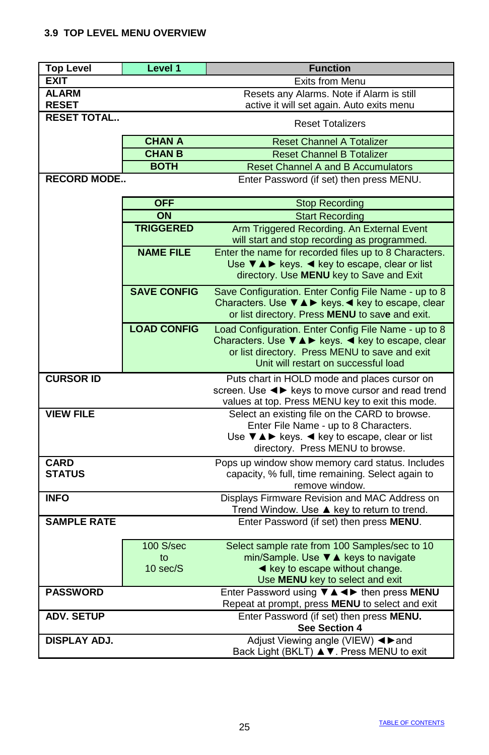# **3.9 TOP LEVEL MENU OVERVIEW**

| <b>Top Level</b>    | Level 1            | <b>Function</b>                                                                                    |
|---------------------|--------------------|----------------------------------------------------------------------------------------------------|
| <b>EXIT</b>         |                    | Exits from Menu                                                                                    |
| <b>ALARM</b>        |                    | Resets any Alarms. Note if Alarm is still                                                          |
| <b>RESET</b>        |                    | active it will set again. Auto exits menu                                                          |
| <b>RESET TOTAL</b>  |                    | <b>Reset Totalizers</b>                                                                            |
|                     | <b>CHAN A</b>      | <b>Reset Channel A Totalizer</b>                                                                   |
|                     | <b>CHAN B</b>      | <b>Reset Channel B Totalizer</b>                                                                   |
|                     | <b>BOTH</b>        | <b>Reset Channel A and B Accumulators</b>                                                          |
| <b>RECORD MODE</b>  |                    | Enter Password (if set) then press MENU.                                                           |
|                     | <b>OFF</b>         | <b>Stop Recording</b>                                                                              |
|                     | ON                 | <b>Start Recording</b>                                                                             |
|                     | <b>TRIGGERED</b>   | Arm Triggered Recording. An External Event<br>will start and stop recording as programmed.         |
|                     | <b>NAME FILE</b>   | Enter the name for recorded files up to 8 Characters.                                              |
|                     |                    | Use $\nabla \triangle \blacktriangleright$ keys. $\blacktriangleleft$ key to escape, clear or list |
|                     |                    | directory. Use MENU key to Save and Exit                                                           |
|                     | <b>SAVE CONFIG</b> | Save Configuration. Enter Config File Name - up to 8                                               |
|                     |                    | Characters. Use V A ► keys. < key to escape, clear                                                 |
|                     |                    | or list directory. Press MENU to save and exit.                                                    |
|                     | <b>LOAD CONFIG</b> | Load Configuration. Enter Config File Name - up to 8                                               |
|                     |                    | Characters. Use VAI keys. < key to escape, clear                                                   |
|                     |                    | or list directory. Press MENU to save and exit<br>Unit will restart on successful load             |
| <b>CURSOR ID</b>    |                    |                                                                                                    |
|                     |                    | Puts chart in HOLD mode and places cursor on<br>screen. Use <► keys to move cursor and read trend  |
|                     |                    | values at top. Press MENU key to exit this mode.                                                   |
| <b>VIEW FILE</b>    |                    | Select an existing file on the CARD to browse.                                                     |
|                     |                    | Enter File Name - up to 8 Characters.                                                              |
|                     |                    | Use V A ► keys. < key to escape, clear or list                                                     |
|                     |                    | directory. Press MENU to browse.                                                                   |
| <b>CARD</b>         |                    | Pops up window show memory card status. Includes                                                   |
| <b>STATUS</b>       |                    | capacity, % full, time remaining. Select again to                                                  |
| <b>INFO</b>         |                    | remove window.<br>Displays Firmware Revision and MAC Address on                                    |
|                     |                    | Trend Window. Use ▲ key to return to trend.                                                        |
| <b>SAMPLE RATE</b>  |                    | Enter Password (if set) then press MENU.                                                           |
|                     | 100 S/sec          | Select sample rate from 100 Samples/sec to 10                                                      |
|                     | to                 | min/Sample. Use ▼ A keys to navigate                                                               |
|                     | 10 sec/S           | ◀ key to escape without change.                                                                    |
|                     |                    | Use MENU key to select and exit                                                                    |
| <b>PASSWORD</b>     |                    | Enter Password using $\overline{v}$ A < > then press MENU                                          |
|                     |                    | Repeat at prompt, press MENU to select and exit                                                    |
| <b>ADV. SETUP</b>   |                    | Enter Password (if set) then press MENU.<br>See Section 4                                          |
| <b>DISPLAY ADJ.</b> |                    | Adjust Viewing angle (VIEW) <>>>>>> and                                                            |
|                     |                    | Back Light (BKLT) ▲ V. Press MENU to exit                                                          |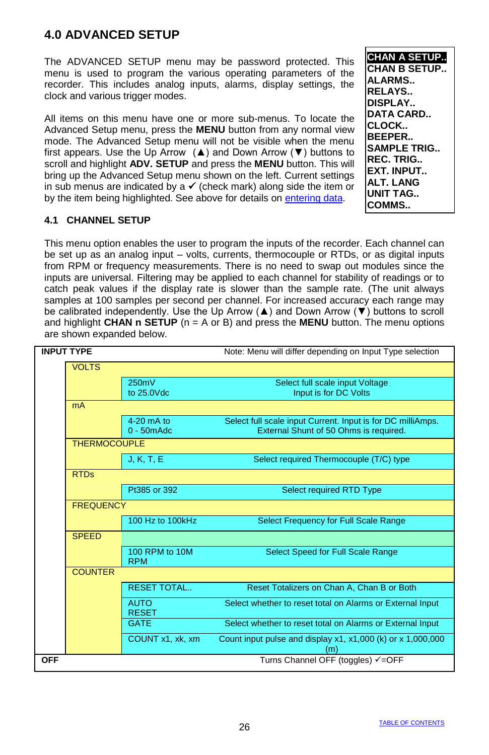# **4.0 ADVANCED SETUP**

The ADVANCED SETUP menu may be password protected. This menu is used to program the various operating parameters of the recorder. This includes analog inputs, alarms, display settings, the clock and various trigger modes.

All items on this menu have one or more sub-menus. To locate the Advanced Setup menu, press the **MENU** button from any normal view mode. The Advanced Setup menu will not be visible when the menu first appears. Use the Up Arrow  $(\triangle)$  and Down Arrow ( $\nabla$ ) buttons to scroll and highlight **ADV. SETUP** and press the **MENU** button. This will bring up the Advanced Setup menu shown on the left. Current settings in sub menus are indicated by a  $\checkmark$  (check mark) along side the item or by the item being highlighted. See above for details on entering data.

**CHAN A SETUP.. CHAN B SETUP.. ALARMS.. RELAYS.. DISPLAY.. DATA CARD.. CLOCK.. BEEPER.. SAMPLE TRIG.. REC. TRIG.. EXT. INPUT.. ALT. LANG UNIT TAG.. COMMS..**

### **4.1 CHANNEL SETUP**

This menu option enables the user to program the inputs of the recorder. Each channel can be set up as an analog input – volts, currents, thermocouple or RTDs, or as digital inputs from RPM or frequency measurements. There is no need to swap out modules since the inputs are universal. Filtering may be applied to each channel for stability of readings or to catch peak values if the display rate is slower than the sample rate. (The unit always samples at 100 samples per second per channel. For increased accuracy each range may be calibrated independently. Use the Up Arrow (▲) and Down Arrow (▼) buttons to scroll and highlight **CHAN n SETUP** ( $n = A$  or B) and press the **MENU** button. The menu options are shown expanded below.

| <b>INPUT TYPE</b>   |                                         | Note: Menu will differ depending on Input Type selection                                              |
|---------------------|-----------------------------------------|-------------------------------------------------------------------------------------------------------|
| <b>VOLTS</b>        |                                         |                                                                                                       |
|                     | 250mV<br>to 25.0Vdc                     | Select full scale input Voltage<br>Input is for DC Volts                                              |
| <b>mA</b>           |                                         |                                                                                                       |
|                     | $4-20$ mA to<br>$0 - 50$ m $\text{Adc}$ | Select full scale input Current. Input is for DC milliAmps.<br>External Shunt of 50 Ohms is required. |
| <b>THERMOCOUPLE</b> |                                         |                                                                                                       |
|                     | J, K, T, E                              | Select required Thermocouple (T/C) type                                                               |
| <b>RTDs</b>         |                                         |                                                                                                       |
|                     | Pt385 or 392                            | Select required RTD Type                                                                              |
| <b>FREQUENCY</b>    |                                         |                                                                                                       |
|                     | 100 Hz to 100kHz                        | Select Frequency for Full Scale Range                                                                 |
| <b>SPEED</b>        |                                         |                                                                                                       |
|                     | 100 RPM to 10M<br><b>RPM</b>            | Select Speed for Full Scale Range                                                                     |
| <b>COUNTER</b>      |                                         |                                                                                                       |
|                     | <b>RESET TOTAL</b>                      | Reset Totalizers on Chan A, Chan B or Both                                                            |
|                     | <b>AUTO</b><br><b>RESET</b>             | Select whether to reset total on Alarms or External Input                                             |
|                     | <b>GATE</b>                             | Select whether to reset total on Alarms or External Input                                             |
|                     | COUNT x1, xk, xm                        | Count input pulse and display x1, x1,000 (k) or x 1,000,000<br>(m)                                    |
| <b>OFF</b>          |                                         | Turns Channel OFF (toggles) √=OFF                                                                     |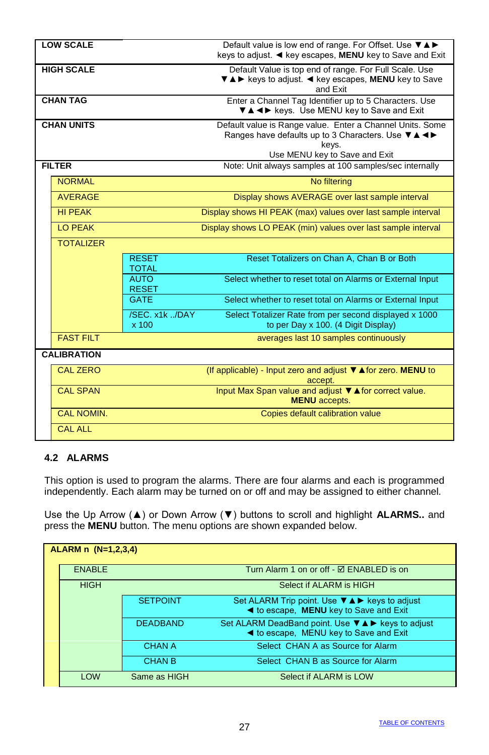| <b>LOW SCALE</b>   |                              | Default value is low end of range. For Offset. Use VAD<br>keys to adjust. ◀ key escapes, MENU key to Save and Exit                                        |
|--------------------|------------------------------|-----------------------------------------------------------------------------------------------------------------------------------------------------------|
| <b>HIGH SCALE</b>  |                              | Default Value is top end of range. For Full Scale. Use<br>▼▲▶ keys to adjust. < key escapes, MENU key to Save<br>and Exit                                 |
| <b>CHAN TAG</b>    |                              | Enter a Channel Tag Identifier up to 5 Characters. Use<br>V A < > keys. Use MENU key to Save and Exit                                                     |
| <b>CHAN UNITS</b>  |                              | Default value is Range value. Enter a Channel Units. Some<br>Ranges have defaults up to 3 Characters. Use V A <<br>keys.<br>Use MENU key to Save and Exit |
| <b>FILTER</b>      |                              | Note: Unit always samples at 100 samples/sec internally                                                                                                   |
| <b>NORMAL</b>      |                              | No filtering                                                                                                                                              |
| <b>AVERAGE</b>     |                              | Display shows AVERAGE over last sample interval                                                                                                           |
| <b>HI PEAK</b>     |                              | Display shows HI PEAK (max) values over last sample interval                                                                                              |
| LO PEAK            |                              | Display shows LO PEAK (min) values over last sample interval                                                                                              |
| <b>TOTALIZER</b>   |                              |                                                                                                                                                           |
|                    | <b>RESET</b><br><b>TOTAL</b> | Reset Totalizers on Chan A, Chan B or Both                                                                                                                |
|                    | <b>AUTO</b><br><b>RESET</b>  | Select whether to reset total on Alarms or External Input                                                                                                 |
|                    | <b>GATE</b>                  | Select whether to reset total on Alarms or External Input                                                                                                 |
|                    | /SEC. x1k /DAY<br>x 100      | Select Totalizer Rate from per second displayed x 1000<br>to per Day x 100. (4 Digit Display)                                                             |
| <b>FAST FILT</b>   |                              | averages last 10 samples continuously                                                                                                                     |
| <b>CALIBRATION</b> |                              |                                                                                                                                                           |
| <b>CAL ZERO</b>    |                              | (If applicable) - Input zero and adjust $\Psi$ ▲ for zero. MENU to<br>accept.                                                                             |
| <b>CAL SPAN</b>    |                              | Input Max Span value and adjust $\Psi$ <b>A</b> for correct value.<br><b>MENU</b> accepts.                                                                |
| <b>CAL NOMIN.</b>  |                              | Copies default calibration value                                                                                                                          |
| <b>CAL ALL</b>     |                              |                                                                                                                                                           |

### **4.2 ALARMS**

This option is used to program the alarms. There are four alarms and each is programmed independently. Each alarm may be turned on or off and may be assigned to either channel.

Use the Up Arrow (▲) or Down Arrow (▼) buttons to scroll and highlight **ALARMS..** and press the **MENU** button. The menu options are shown expanded below.

| ALARM n (N=1,2,3,4) |                 |                                                                                                                           |
|---------------------|-----------------|---------------------------------------------------------------------------------------------------------------------------|
| <b>ENABLE</b>       |                 | Turn Alarm 1 on or off - ☑ ENABLED is on                                                                                  |
| <b>HIGH</b>         |                 | Select if ALARM is HIGH                                                                                                   |
|                     | <b>SETPOINT</b> | Set ALARM Trip point. Use $\nabla \triangle \blacktriangleright$ keys to adjust<br>◀ to escape, MENU key to Save and Exit |
|                     | <b>DEADBAND</b> | Set ALARM DeadBand point. Use <b>V</b> A ► keys to adjust<br><b>Example 4</b> to escape, MENU key to Save and Exit        |
|                     | <b>CHAN A</b>   | Select CHAN A as Source for Alarm                                                                                         |
|                     | <b>CHAN B</b>   | Select CHAN B as Source for Alarm                                                                                         |
| <b>I OW</b>         | Same as HIGH    | Select if ALARM is LOW                                                                                                    |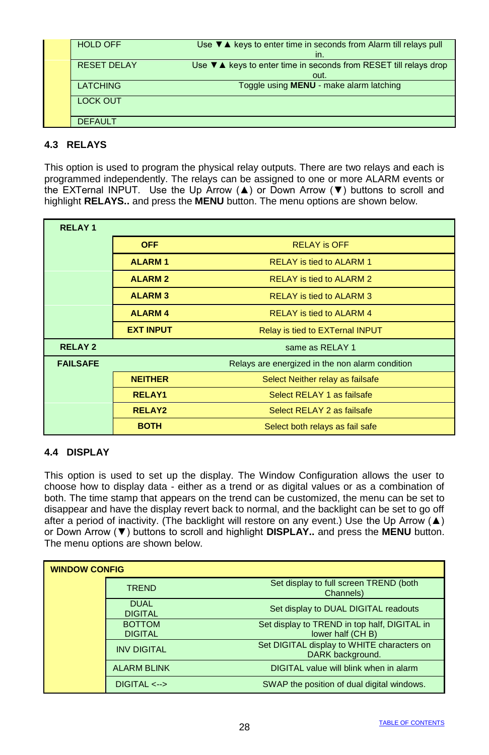| <b>HOLD OFF</b>    | Use $\nabla$ $\triangle$ keys to enter time in seconds from Alarm till relays pull |
|--------------------|------------------------------------------------------------------------------------|
|                    | in.                                                                                |
| <b>RESET DELAY</b> | Use $\nabla$ $\triangle$ keys to enter time in seconds from RESET till relays drop |
|                    | out.                                                                               |
| <b>LATCHING</b>    | Toggle using <b>MENU</b> - make alarm latching                                     |
| <b>LOCK OUT</b>    |                                                                                    |
|                    |                                                                                    |
|                    |                                                                                    |
| <b>DEFAULT</b>     |                                                                                    |
|                    |                                                                                    |

### **4.3 RELAYS**

This option is used to program the physical relay outputs. There are two relays and each is programmed independently. The relays can be assigned to one or more ALARM events or the EXTernal INPUT. Use the Up Arrow (▲) or Down Arrow (▼) buttons to scroll and highlight **RELAYS..** and press the **MENU** button. The menu options are shown below.

| <b>RELAY1</b>   |                  |                                                 |
|-----------------|------------------|-------------------------------------------------|
|                 | <b>OFF</b>       | <b>RELAY is OFF</b>                             |
|                 | <b>ALARM1</b>    | <b>RELAY is tied to ALARM 1</b>                 |
|                 | <b>ALARM2</b>    | <b>RELAY is tied to ALARM 2</b>                 |
|                 | <b>ALARM3</b>    | <b>RELAY is tied to ALARM 3</b>                 |
|                 | <b>ALARM4</b>    | <b>RELAY is tied to ALARM 4</b>                 |
|                 | <b>EXT INPUT</b> | Relay is tied to EXTernal INPUT                 |
| <b>RELAY2</b>   |                  | same as RELAY 1                                 |
| <b>FAILSAFE</b> |                  | Relays are energized in the non alarm condition |
|                 | <b>NEITHER</b>   | Select Neither relay as failsafe                |
|                 | <b>RELAY1</b>    | Select RELAY 1 as failsafe                      |
|                 | <b>RELAY2</b>    | Select RELAY 2 as failsafe                      |
|                 | <b>BOTH</b>      | Select both relays as fail safe                 |

### **4.4 DISPLAY**

This option is used to set up the display. The Window Configuration allows the user to choose how to display data - either as a trend or as digital values or as a combination of both. The time stamp that appears on the trend can be customized, the menu can be set to disappear and have the display revert back to normal, and the backlight can be set to go off after a period of inactivity. (The backlight will restore on any event.) Use the Up Arrow ( $\blacktriangle$ ) or Down Arrow (▼) buttons to scroll and highlight **DISPLAY..** and press the **MENU** button. The menu options are shown below.

| <b>WINDOW CONFIG</b> |                                 |                                                                  |
|----------------------|---------------------------------|------------------------------------------------------------------|
|                      | <b>TREND</b>                    | Set display to full screen TREND (both<br>Channels)              |
|                      | <b>DUAL</b><br><b>DIGITAL</b>   | Set display to DUAL DIGITAL readouts                             |
|                      | <b>BOTTOM</b><br><b>DIGITAL</b> | Set display to TREND in top half, DIGITAL in<br>lower half (CHB) |
|                      | <b>INV DIGITAL</b>              | Set DIGITAL display to WHITE characters on<br>DARK background.   |
|                      | <b>ALARM BLINK</b>              | DIGITAL value will blink when in alarm                           |
|                      | $DIGITAL \leftarrow$            | SWAP the position of dual digital windows.                       |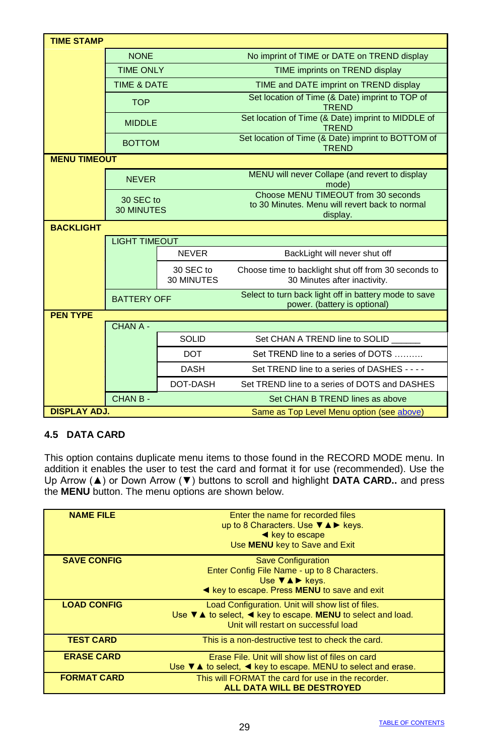| <b>TIME STAMP</b>   |                                |                         |                                                                                                   |
|---------------------|--------------------------------|-------------------------|---------------------------------------------------------------------------------------------------|
|                     | <b>NONE</b>                    |                         | No imprint of TIME or DATE on TREND display                                                       |
|                     | <b>TIME ONLY</b>               |                         | TIME imprints on TREND display                                                                    |
|                     | <b>TIME &amp; DATE</b>         |                         | TIME and DATE imprint on TREND display                                                            |
|                     | <b>TOP</b>                     |                         | Set location of Time (& Date) imprint to TOP of<br><b>TREND</b>                                   |
|                     | <b>MIDDLE</b>                  |                         | Set location of Time (& Date) imprint to MIDDLE of<br><b>TREND</b>                                |
|                     | <b>BOTTOM</b>                  |                         | Set location of Time (& Date) imprint to BOTTOM of<br><b>TREND</b>                                |
| <b>MENU TIMEOUT</b> |                                |                         |                                                                                                   |
|                     | <b>NEVER</b>                   |                         | MENU will never Collape (and revert to display<br>mode)                                           |
|                     | 30 SEC to<br><b>30 MINUTES</b> |                         | Choose MENU TIMEOUT from 30 seconds<br>to 30 Minutes. Menu will revert back to normal<br>display. |
| <b>BACKLIGHT</b>    |                                |                         |                                                                                                   |
|                     | <b>LIGHT TIMEOUT</b>           |                         |                                                                                                   |
|                     |                                | <b>NEVER</b>            | BackLight will never shut off                                                                     |
|                     |                                | 30 SEC to<br>30 MINUTES | Choose time to backlight shut off from 30 seconds to<br>30 Minutes after inactivity.              |
|                     | <b>BATTERY OFF</b>             |                         | Select to turn back light off in battery mode to save<br>power. (battery is optional)             |
| <b>PEN TYPE</b>     | CHAN A -                       |                         |                                                                                                   |
|                     |                                | <b>SOLID</b>            | Set CHAN A TREND line to SOLID                                                                    |
|                     |                                | <b>DOT</b>              | Set TREND line to a series of DOTS                                                                |
|                     |                                |                         |                                                                                                   |
|                     |                                | <b>DASH</b>             | Set TREND line to a series of DASHES - - - -                                                      |
|                     |                                | DOT-DASH                | Set TREND line to a series of DOTS and DASHES                                                     |
|                     | CHAN B-                        |                         | Set CHAN B TREND lines as above                                                                   |
| <b>DISPLAY ADJ.</b> |                                |                         | Same as Top Level Menu option (see above)                                                         |

### **4.5 DATA CARD**

This option contains duplicate menu items to those found in the RECORD MODE menu. In addition it enables the user to test the card and format it for use (recommended). Use the Up Arrow (▲) or Down Arrow (▼) buttons to scroll and highlight **DATA CARD..** and press the **MENU** button. The menu options are shown below.

| Enter the name for recorded files                                                                 |
|---------------------------------------------------------------------------------------------------|
| up to 8 Characters. Use $\nabla \triangle \blacktriangleright$ keys.                              |
| $\triangleleft$ key to escape                                                                     |
| Use MENU key to Save and Exit                                                                     |
|                                                                                                   |
| <b>Save Configuration</b>                                                                         |
| Enter Config File Name - up to 8 Characters.                                                      |
| Use $\nabla \triangle \triangleright$ keys.                                                       |
|                                                                                                   |
| Example key to escape. Press MENU to save and exit                                                |
| Load Configuration. Unit will show list of files.                                                 |
| Use $\nabla$ $\triangle$ to select, $\triangleleft$ key to escape. MENU to select and load.       |
| Unit will restart on successful load                                                              |
|                                                                                                   |
| This is a non-destructive test to check the card.                                                 |
|                                                                                                   |
| Erase File. Unit will show list of files on card                                                  |
| Use $\nabla$ $\triangle$ to select, $\blacktriangleleft$ key to escape. MENU to select and erase. |
| This will FORMAT the card for use in the recorder.                                                |
| ALL DATA WILL BE DESTROYED                                                                        |
|                                                                                                   |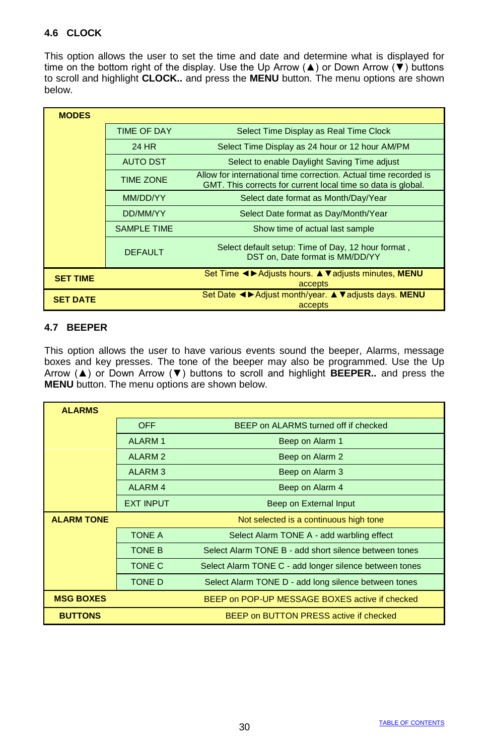### **4.6 CLOCK**

This option allows the user to set the time and date and determine what is displayed for time on the bottom right of the display. Use the Up Arrow ( $\blacktriangle$ ) or Down Arrow ( $\blacktriangledown$ ) buttons to scroll and highlight **CLOCK..** and press the **MENU** button. The menu options are shown below.

| <b>MODES</b>    |                    |                                                                                                                                  |
|-----------------|--------------------|----------------------------------------------------------------------------------------------------------------------------------|
|                 | <b>TIME OF DAY</b> | Select Time Display as Real Time Clock                                                                                           |
|                 | 24 HR              | Select Time Display as 24 hour or 12 hour AM/PM                                                                                  |
|                 | <b>AUTO DST</b>    | Select to enable Daylight Saving Time adjust                                                                                     |
|                 | <b>TIME ZONE</b>   | Allow for international time correction. Actual time recorded is<br>GMT. This corrects for current local time so data is global. |
|                 | MM/DD/YY           | Select date format as Month/Day/Year                                                                                             |
|                 | DD/MM/YY           | Select Date format as Day/Month/Year                                                                                             |
|                 | <b>SAMPLE TIME</b> | Show time of actual last sample                                                                                                  |
|                 | <b>DEFAULT</b>     | Select default setup: Time of Day, 12 hour format,<br>DST on, Date format is MM/DD/YY                                            |
| <b>SET TIME</b> |                    | Set Time < > Adjusts hours. ▲ ▼ adjusts minutes, MENU<br>accepts                                                                 |
| <b>SET DATE</b> |                    | Set Date < > Adjust month/year. ▲ ▼ adjusts days. MENU<br>accepts                                                                |

### **4.7 BEEPER**

This option allows the user to have various events sound the beeper, Alarms, message boxes and key presses. The tone of the beeper may also be programmed. Use the Up Arrow (▲) or Down Arrow (▼) buttons to scroll and highlight **BEEPER..** and press the **MENU** button. The menu options are shown below.

| <b>ALARMS</b>     |                    |                                                        |
|-------------------|--------------------|--------------------------------------------------------|
|                   | <b>OFF</b>         | BEEP on ALARMS turned off if checked                   |
|                   | <b>ALARM1</b>      | Beep on Alarm 1                                        |
|                   | <b>ALARM2</b>      | Beep on Alarm 2                                        |
|                   | <b>ALARM3</b>      | Beep on Alarm 3                                        |
|                   | ALARM <sub>4</sub> | Beep on Alarm 4                                        |
|                   | <b>EXT INPUT</b>   | Beep on External Input                                 |
| <b>ALARM TONE</b> |                    | Not selected is a continuous high tone                 |
|                   | <b>TONE A</b>      | Select Alarm TONE A - add warbling effect              |
|                   | <b>TONE B</b>      | Select Alarm TONE B - add short silence between tones  |
|                   | TONE C             | Select Alarm TONE C - add longer silence between tones |
|                   | <b>TONE D</b>      | Select Alarm TONE D - add long silence between tones   |
| <b>MSG BOXES</b>  |                    | BEEP on POP-UP MESSAGE BOXES active if checked         |
| <b>BUTTONS</b>    |                    | BEEP on BUTTON PRESS active if checked                 |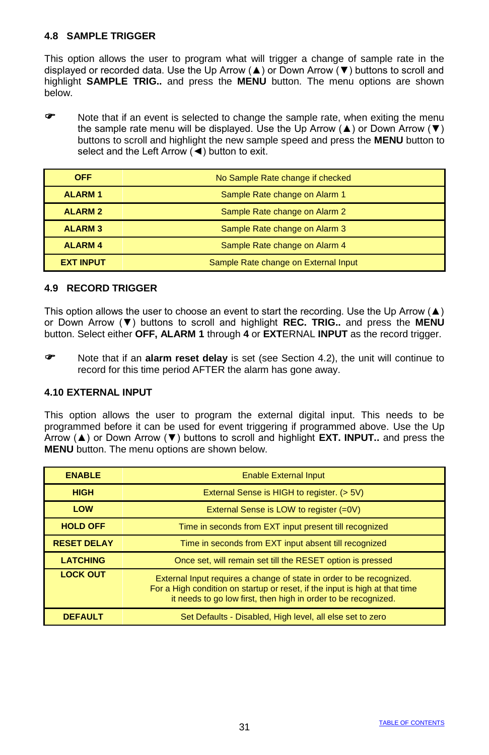### **4.8 SAMPLE TRIGGER**

This option allows the user to program what will trigger a change of sample rate in the displayed or recorded data. Use the Up Arrow ( $\blacktriangle$ ) or Down Arrow ( $\nabla$ ) buttons to scroll and highlight **SAMPLE TRIG..** and press the **MENU** button. The menu options are shown below.

 Note that if an event is selected to change the sample rate, when exiting the menu the sample rate menu will be displayed. Use the Up Arrow ( $\blacktriangle$ ) or Down Arrow ( $\nabla$ ) buttons to scroll and highlight the new sample speed and press the **MENU** button to select and the Left Arrow (◀) button to exit.

| <b>OFF</b>       | No Sample Rate change if checked     |
|------------------|--------------------------------------|
| <b>ALARM1</b>    | Sample Rate change on Alarm 1        |
| <b>ALARM2</b>    | Sample Rate change on Alarm 2        |
| <b>ALARM3</b>    | Sample Rate change on Alarm 3        |
| <b>ALARM4</b>    | Sample Rate change on Alarm 4        |
| <b>EXT INPUT</b> | Sample Rate change on External Input |

#### **4.9 RECORD TRIGGER**

This option allows the user to choose an event to start the recording. Use the Up Arrow  $(\triangle)$ or Down Arrow (▼) buttons to scroll and highlight **REC. TRIG..** and press the **MENU** button. Select either **OFF, ALARM 1** through **4** or **EXT**ERNAL **INPUT** as the record trigger.

 Note that if an **alarm reset delay** is set (see Section 4.2), the unit will continue to record for this time period AFTER the alarm has gone away.

### **4.10 EXTERNAL INPUT**

This option allows the user to program the external digital input. This needs to be programmed before it can be used for event triggering if programmed above. Use the Up Arrow (▲) or Down Arrow (▼) buttons to scroll and highlight **EXT. INPUT..** and press the **MENU** button. The menu options are shown below.

| <b>ENABLE</b>      | <b>Enable External Input</b>                                                                                                                                                                                          |  |  |  |  |
|--------------------|-----------------------------------------------------------------------------------------------------------------------------------------------------------------------------------------------------------------------|--|--|--|--|
| <b>HIGH</b>        | External Sense is HIGH to register. (> 5V)                                                                                                                                                                            |  |  |  |  |
| LOW                | External Sense is LOW to register (=0V)                                                                                                                                                                               |  |  |  |  |
| <b>HOLD OFF</b>    | Time in seconds from EXT input present till recognized                                                                                                                                                                |  |  |  |  |
| <b>RESET DELAY</b> | Time in seconds from EXT input absent till recognized                                                                                                                                                                 |  |  |  |  |
| <b>LATCHING</b>    | Once set, will remain set till the RESET option is pressed                                                                                                                                                            |  |  |  |  |
| <b>LOCK OUT</b>    | External Input requires a change of state in order to be recognized.<br>For a High condition on startup or reset, if the input is high at that time<br>it needs to go low first, then high in order to be recognized. |  |  |  |  |
| <b>DEFAULT</b>     | Set Defaults - Disabled, High level, all else set to zero                                                                                                                                                             |  |  |  |  |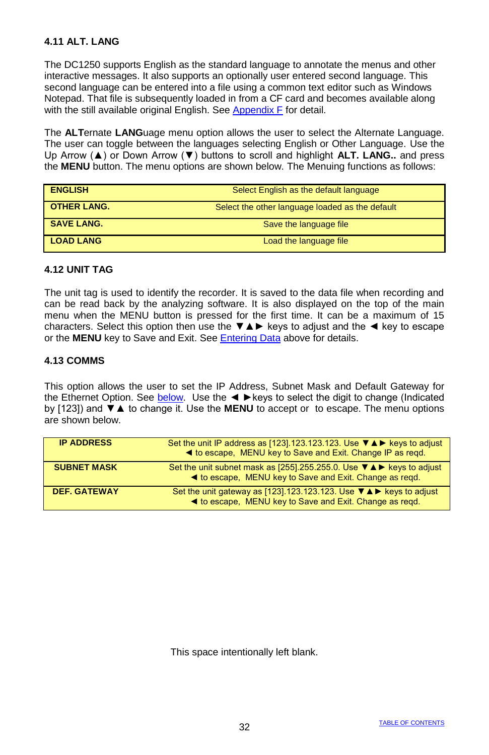### **4.11 ALT. LANG**

The DC1250 supports English as the standard language to annotate the menus and other interactive messages. It also supports an optionally user entered second language. This second language can be entered into a file using a common text editor such as Windows Notepad. That file is subsequently loaded in from a CF card and becomes available along with the still available original English. See Appendix F for detail.

The **ALT**ernate **LANG**uage menu option allows the user to select the Alternate Language. The user can toggle between the languages selecting English or Other Language. Use the Up Arrow (▲) or Down Arrow (▼) buttons to scroll and highlight **ALT. LANG..** and press the **MENU** button. The menu options are shown below. The Menuing functions as follows:

| <b>ENGLISH</b>     | Select English as the default language          |
|--------------------|-------------------------------------------------|
| <b>OTHER LANG.</b> | Select the other language loaded as the default |
| <b>SAVE LANG.</b>  | Save the language file                          |
| <b>LOAD LANG</b>   | Load the language file                          |

#### **4.12 UNIT TAG**

The unit tag is used to identify the recorder. It is saved to the data file when recording and can be read back by the analyzing software. It is also displayed on the top of the main menu when the MENU button is pressed for the first time. It can be a maximum of 15 characters. Select this option then use the ▼▲► keys to adjust and the ◄ key to escape or the **MENU** key to Save and Exit. See Entering Data above for details.

#### **4.13 COMMS**

This option allows the user to set the IP Address, Subnet Mask and Default Gateway for the Ethernet Option. See below. Use the < ► keys to select the digit to change (Indicated by [123]) and ▼▲ to change it. Use the **MENU** to accept or to escape. The menu options are shown below.

| <b>IP ADDRESS</b>   | Set the unit IP address as [123].123.123.123. Use $\Psi \triangle \blacktriangleright$ keys to adjust<br>◀ to escape, MENU key to Save and Exit. Change IP as regd. |
|---------------------|---------------------------------------------------------------------------------------------------------------------------------------------------------------------|
| <b>SUBNET MASK</b>  | Set the unit subnet mask as [255].255.255.0. Use V A ► keys to adjust<br>◀ to escape, MENU key to Save and Exit. Change as regd.                                    |
| <b>DEF. GATEWAY</b> | Set the unit gateway as [123].123.123.123. Use ▼▲▶ keys to adjust<br>◀ to escape, MENU key to Save and Exit. Change as regd.                                        |

This space intentionally left blank.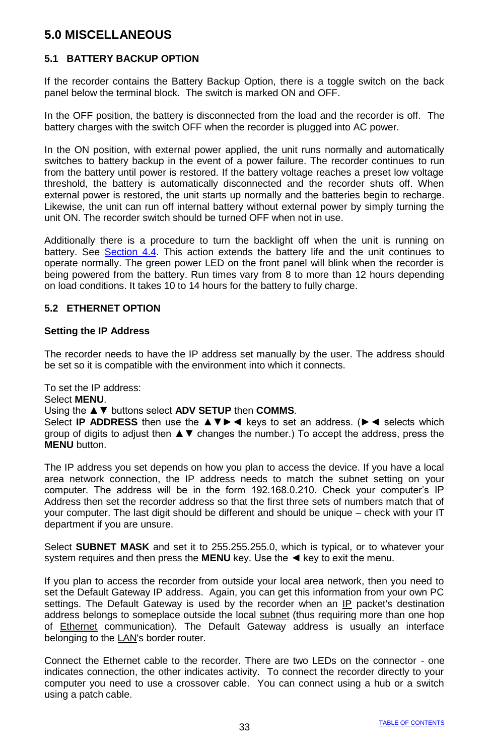# **5.0 MISCELLANEOUS**

### **5.1 BATTERY BACKUP OPTION**

If the recorder contains the Battery Backup Option, there is a toggle switch on the back panel below the terminal block. The switch is marked ON and OFF.

In the OFF position, the battery is disconnected from the load and the recorder is off. The battery charges with the switch OFF when the recorder is plugged into AC power.

In the ON position, with external power applied, the unit runs normally and automatically switches to battery backup in the event of a power failure. The recorder continues to run from the battery until power is restored. If the battery voltage reaches a preset low voltage threshold, the battery is automatically disconnected and the recorder shuts off. When external power is restored, the unit starts up normally and the batteries begin to recharge. Likewise, the unit can run off internal battery without external power by simply turning the unit ON. The recorder switch should be turned OFF when not in use.

Additionally there is a procedure to turn the backlight off when the unit is running on battery. See Section 4.4. This action extends the battery life and the unit continues to operate normally. The green power LED on the front panel will blink when the recorder is being powered from the battery. Run times vary from 8 to more than 12 hours depending on load conditions. It takes 10 to 14 hours for the battery to fully charge.

#### **5.2 ETHERNET OPTION**

#### **Setting the IP Address**

The recorder needs to have the IP address set manually by the user. The address should be set so it is compatible with the environment into which it connects.

To set the IP address:

#### Select **MENU**.

#### Using the ▲▼ buttons select **ADV SETUP** then **COMMS**.

Select **IP ADDRESS** then use the **AV** ► < keys to set an address. (► < selects which group of digits to adjust then ▲▼ changes the number.) To accept the address, press the **MENU** button.

The IP address you set depends on how you plan to access the device. If you have a local area network connection, the IP address needs to match the subnet setting on your computer. The address will be in the form 192.168.0.210. Check your computer's IP Address then set the recorder address so that the first three sets of numbers match that of your computer. The last digit should be different and should be unique – check with your IT department if you are unsure.

Select **SUBNET MASK** and set it to 255.255.255.0, which is typical, or to whatever your system requires and then press the **MENU** key. Use the ◀ key to exit the menu.

If you plan to access the recorder from outside your local area network, then you need to set the Default Gateway IP address. Again, you can get this information from your own PC settings. The Default Gateway is used by the recorder when an [IP](http://en.wikipedia.org/wiki/Internet_Protocol) packet's destination address belongs to someplace outside the local [subnet](http://en.wikipedia.org/wiki/Subnetwork) (thus requiring more than one hop of [Ethernet](http://en.wikipedia.org/wiki/Ethernet) communication). The Default Gateway address is usually an interface belonging to th[e LAN's](http://en.wikipedia.org/wiki/Local_Area_Network) border router.

Connect the Ethernet cable to the recorder. There are two LEDs on the connector - one indicates connection, the other indicates activity. To connect the recorder directly to your computer you need to use a crossover cable. You can connect using a hub or a switch using a patch cable.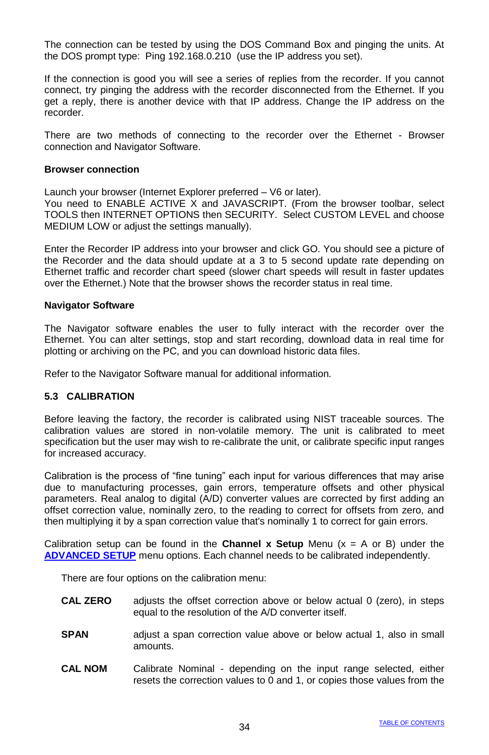The connection can be tested by using the DOS Command Box and pinging the units. At the DOS prompt type: Ping 192.168.0.210 (use the IP address you set).

If the connection is good you will see a series of replies from the recorder. If you cannot connect, try pinging the address with the recorder disconnected from the Ethernet. If you get a reply, there is another device with that IP address. Change the IP address on the recorder.

There are two methods of connecting to the recorder over the Ethernet - Browser connection and Navigator Software.

#### **Browser connection**

Launch your browser (Internet Explorer preferred – V6 or later).

You need to ENABLE ACTIVE X and JAVASCRIPT. (From the browser toolbar, select TOOLS then INTERNET OPTIONS then SECURITY. Select CUSTOM LEVEL and choose MEDIUM LOW or adjust the settings manually).

Enter the Recorder IP address into your browser and click GO. You should see a picture of the Recorder and the data should update at a 3 to 5 second update rate depending on Ethernet traffic and recorder chart speed (slower chart speeds will result in faster updates over the Ethernet.) Note that the browser shows the recorder status in real time.

#### **Navigator Software**

The Navigator software enables the user to fully interact with the recorder over the Ethernet. You can alter settings, stop and start recording, download data in real time for plotting or archiving on the PC, and you can download historic data files.

Refer to the Navigator Software manual for additional information.

### **5.3 CALIBRATION**

Before leaving the factory, the recorder is calibrated using NIST traceable sources. The calibration values are stored in non-volatile memory. The unit is calibrated to meet specification but the user may wish to re-calibrate the unit, or calibrate specific input ranges for increased accuracy.

Calibration is the process of "fine tuning" each input for various differences that may arise due to manufacturing processes, gain errors, temperature offsets and other physical parameters. Real analog to digital (A/D) converter values are corrected by first adding an offset correction value, nominally zero, to the reading to correct for offsets from zero, and then multiplying it by a span correction value that's nominally 1 to correct for gain errors.

Calibration setup can be found in the **Channel x Setup** Menu  $(x = A \text{ or } B)$  under the **ADVANCED SETUP** menu options. Each channel needs to be calibrated independently.

There are four options on the calibration menu:

- **CAL ZERO** adjusts the offset correction above or below actual 0 (zero), in steps equal to the resolution of the A/D converter itself.
- **SPAN** adjust a span correction value above or below actual 1, also in small amounts.
- **CAL NOM** Calibrate Nominal depending on the input range selected, either resets the correction values to 0 and 1, or copies those values from the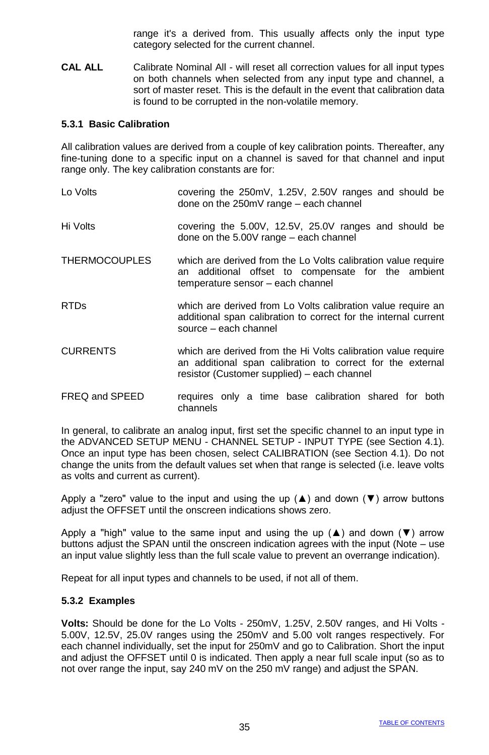range it's a derived from. This usually affects only the input type category selected for the current channel.

**CAL ALL** Calibrate Nominal All - will reset all correction values for all input types on both channels when selected from any input type and channel, a sort of master reset. This is the default in the event that calibration data is found to be corrupted in the non-volatile memory.

#### **5.3.1 Basic Calibration**

All calibration values are derived from a couple of key calibration points. Thereafter, any fine-tuning done to a specific input on a channel is saved for that channel and input range only. The key calibration constants are for:

| Lo Volts        | covering the 250mV, 1.25V, 2.50V ranges and should be<br>done on the 250mV range - each channel                                                                            |  |  |  |  |  |
|-----------------|----------------------------------------------------------------------------------------------------------------------------------------------------------------------------|--|--|--|--|--|
| Hi Volts        | covering the 5.00V, 12.5V, 25.0V ranges and should be<br>done on the $5.00V$ range $-$ each channel                                                                        |  |  |  |  |  |
| THERMOCOUPLES   | which are derived from the Lo Volts calibration value require<br>an additional offset to compensate for the ambient<br>temperature sensor - each channel                   |  |  |  |  |  |
| <b>RTDs</b>     | which are derived from Lo Volts calibration value require an<br>additional span calibration to correct for the internal current<br>source - each channel                   |  |  |  |  |  |
| <b>CURRENTS</b> | which are derived from the Hi Volts calibration value require<br>an additional span calibration to correct for the external<br>resistor (Customer supplied) – each channel |  |  |  |  |  |
| FREQ and SPEED  | requires only a time base calibration shared for both<br>channels                                                                                                          |  |  |  |  |  |

In general, to calibrate an analog input, first set the specific channel to an input type in the ADVANCED SETUP MENU - CHANNEL SETUP - INPUT TYPE (see Section 4.1). Once an input type has been chosen, select CALIBRATION (see Section 4.1). Do not change the units from the default values set when that range is selected (i.e. leave volts as volts and current as current).

Apply a "zero" value to the input and using the up ( $\blacktriangle$ ) and down ( $\nabla$ ) arrow buttons adjust the OFFSET until the onscreen indications shows zero.

Apply a "high" value to the same input and using the up  $(\triangle)$  and down  $(\blacktriangledown)$  arrow buttons adjust the SPAN until the onscreen indication agrees with the input (Note – use an input value slightly less than the full scale value to prevent an overrange indication).

Repeat for all input types and channels to be used, if not all of them.

#### **5.3.2 Examples**

**Volts:** Should be done for the Lo Volts - 250mV, 1.25V, 2.50V ranges, and Hi Volts - 5.00V, 12.5V, 25.0V ranges using the 250mV and 5.00 volt ranges respectively. For each channel individually, set the input for 250mV and go to Calibration. Short the input and adjust the OFFSET until 0 is indicated. Then apply a near full scale input (so as to not over range the input, say 240 mV on the 250 mV range) and adjust the SPAN.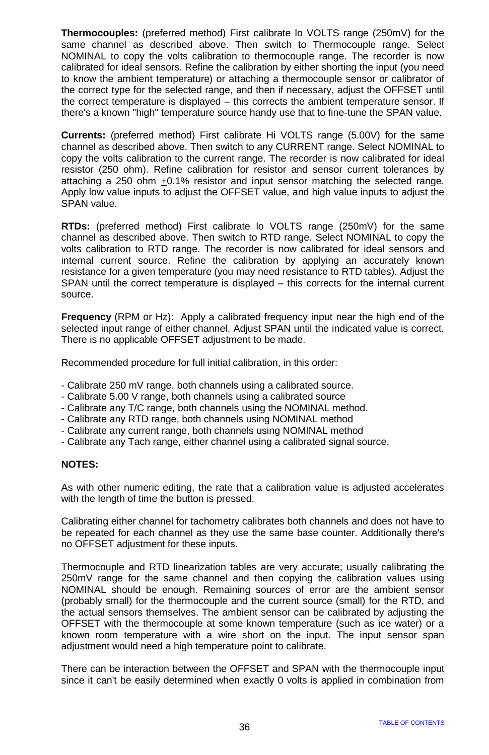**Thermocouples:** (preferred method) First calibrate lo VOLTS range (250mV) for the same channel as described above. Then switch to Thermocouple range. Select NOMINAL to copy the volts calibration to thermocouple range. The recorder is now calibrated for ideal sensors. Refine the calibration by either shorting the input (you need to know the ambient temperature) or attaching a thermocouple sensor or calibrator of the correct type for the selected range, and then if necessary, adjust the OFFSET until the correct temperature is displayed – this corrects the ambient temperature sensor. If there's a known "high" temperature source handy use that to fine-tune the SPAN value.

**Currents:** (preferred method) First calibrate Hi VOLTS range (5.00V) for the same channel as described above. Then switch to any CURRENT range. Select NOMINAL to copy the volts calibration to the current range. The recorder is now calibrated for ideal resistor (250 ohm). Refine calibration for resistor and sensor current tolerances by attaching a 250 ohm +0.1% resistor and input sensor matching the selected range. Apply low value inputs to adjust the OFFSET value, and high value inputs to adjust the SPAN value.

**RTDs:** (preferred method) First calibrate lo VOLTS range (250mV) for the same channel as described above. Then switch to RTD range. Select NOMINAL to copy the volts calibration to RTD range. The recorder is now calibrated for ideal sensors and internal current source. Refine the calibration by applying an accurately known resistance for a given temperature (you may need resistance to RTD tables). Adjust the SPAN until the correct temperature is displayed – this corrects for the internal current source.

**Frequency** (RPM or Hz): Apply a calibrated frequency input near the high end of the selected input range of either channel. Adjust SPAN until the indicated value is correct. There is no applicable OFFSET adjustment to be made.

Recommended procedure for full initial calibration, in this order:

- Calibrate 250 mV range, both channels using a calibrated source.
- Calibrate 5.00 V range, both channels using a calibrated source
- Calibrate any T/C range, both channels using the NOMINAL method.
- Calibrate any RTD range, both channels using NOMINAL method
- Calibrate any current range, both channels using NOMINAL method
- Calibrate any Tach range, either channel using a calibrated signal source.

#### **NOTES:**

As with other numeric editing, the rate that a calibration value is adjusted accelerates with the length of time the button is pressed.

Calibrating either channel for tachometry calibrates both channels and does not have to be repeated for each channel as they use the same base counter. Additionally there's no OFFSET adjustment for these inputs.

Thermocouple and RTD linearization tables are very accurate; usually calibrating the 250mV range for the same channel and then copying the calibration values using NOMINAL should be enough. Remaining sources of error are the ambient sensor (probably small) for the thermocouple and the current source (small) for the RTD, and the actual sensors themselves. The ambient sensor can be calibrated by adjusting the OFFSET with the thermocouple at some known temperature (such as ice water) or a known room temperature with a wire short on the input. The input sensor span adjustment would need a high temperature point to calibrate.

There can be interaction between the OFFSET and SPAN with the thermocouple input since it can't be easily determined when exactly 0 volts is applied in combination from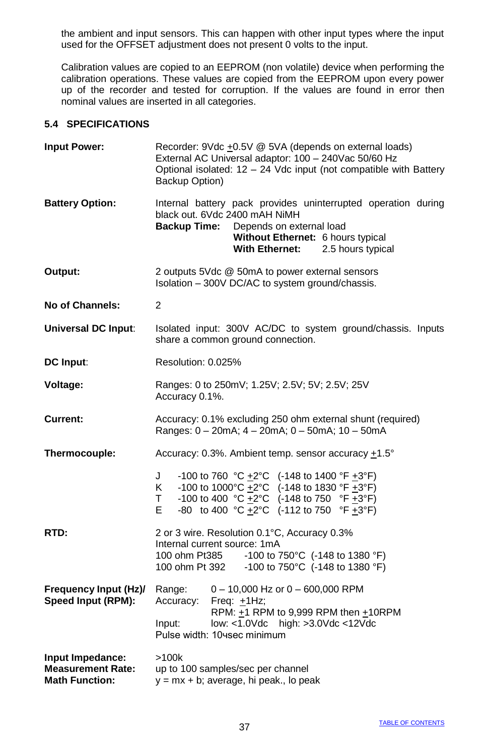the ambient and input sensors. This can happen with other input types where the input used for the OFFSET adjustment does not present 0 volts to the input.

Calibration values are copied to an EEPROM (non volatile) device when performing the calibration operations. These values are copied from the EEPROM upon every power up of the recorder and tested for corruption. If the values are found in error then nominal values are inserted in all categories.

### **5.4 SPECIFICATIONS**

| <b>Input Power:</b>                                                   | Recorder: 9Vdc +0.5V @ 5VA (depends on external loads)<br>External AC Universal adaptor: 100 - 240Vac 50/60 Hz<br>Optional isolated: $12 - 24$ Vdc input (not compatible with Battery<br>Backup Option)                                                              |  |  |  |  |  |  |
|-----------------------------------------------------------------------|----------------------------------------------------------------------------------------------------------------------------------------------------------------------------------------------------------------------------------------------------------------------|--|--|--|--|--|--|
| <b>Battery Option:</b>                                                | Internal battery pack provides uninterrupted operation during<br>black out. 6Vdc 2400 mAH NiMH<br><b>Backup Time:</b><br>Depends on external load<br>Without Ethernet: 6 hours typical<br>2.5 hours typical<br><b>With Ethernet:</b>                                 |  |  |  |  |  |  |
| Output:                                                               | 2 outputs 5Vdc @ 50mA to power external sensors<br>Isolation - 300V DC/AC to system ground/chassis.                                                                                                                                                                  |  |  |  |  |  |  |
| No of Channels:                                                       | $\overline{2}$                                                                                                                                                                                                                                                       |  |  |  |  |  |  |
| Universal DC Input:                                                   | Isolated input: 300V AC/DC to system ground/chassis. Inputs<br>share a common ground connection.                                                                                                                                                                     |  |  |  |  |  |  |
| DC Input:                                                             | Resolution: 0.025%                                                                                                                                                                                                                                                   |  |  |  |  |  |  |
| Voltage:                                                              | Ranges: 0 to 250mV; 1.25V; 2.5V; 5V; 2.5V; 25V<br>Accuracy 0.1%.                                                                                                                                                                                                     |  |  |  |  |  |  |
| Current:                                                              | Accuracy: 0.1% excluding 250 ohm external shunt (required)<br>Ranges: $0 - 20mA$ ; $4 - 20mA$ ; $0 - 50mA$ ; $10 - 50mA$                                                                                                                                             |  |  |  |  |  |  |
| Thermocouple:                                                         | Accuracy: 0.3%. Ambient temp. sensor accuracy $+1.5^{\circ}$                                                                                                                                                                                                         |  |  |  |  |  |  |
|                                                                       | -100 to 760 °C $\pm$ 2°C (-148 to 1400 °F $\pm$ 3°F)<br>J<br>-100 to 1000°C $\pm$ 2°C (-148 to 1830 °F $\pm$ 3°F)<br>K.<br>-100 to 400 °C $\pm 2$ °C (-148 to 750 °F $\pm 3$ °F)<br>T.<br>-80 to 400 °C +2°C $(-112 \text{ to } 750 \text{ °F} +3 \text{ °F})$<br>E. |  |  |  |  |  |  |
| RTD:                                                                  | 2 or 3 wire. Resolution 0.1°C, Accuracy 0.3%<br>Internal current source: 1mA<br>-100 to 750°C (-148 to 1380 °F)<br>100 ohm Pt385<br>100 ohm Pt 392<br>-100 to 750 $^{\circ}$ C (-148 to 1380 $^{\circ}$ F)                                                           |  |  |  |  |  |  |
| Frequency Input (Hz)/<br>Speed Input (RPM):                           | $0 - 10,000$ Hz or $0 - 600,000$ RPM<br>Range:<br>Freq: $+1Hz$ ;<br>Accuracy:<br>RPM: +1 RPM to 9,999 RPM then +10RPM<br>low: <1.0Vdc high: >3.0Vdc <12Vdc<br>Input:<br>Pulse width: 10 sec minimum                                                                  |  |  |  |  |  |  |
| Input Impedance:<br><b>Measurement Rate:</b><br><b>Math Function:</b> | >100k<br>up to 100 samples/sec per channel<br>$y = mx + b$ ; average, hi peak., lo peak                                                                                                                                                                              |  |  |  |  |  |  |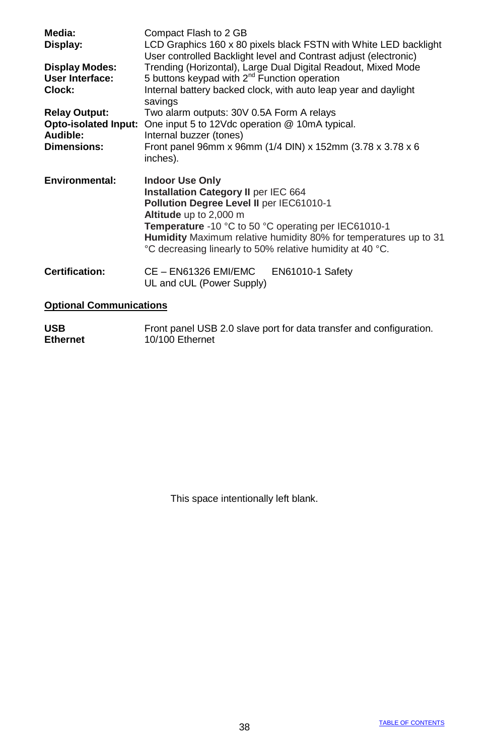| Media:<br>Display:<br><b>Display Modes:</b><br>User Interface: | Compact Flash to 2 GB<br>LCD Graphics 160 x 80 pixels black FSTN with White LED backlight<br>User controlled Backlight level and Contrast adjust (electronic)<br>Trending (Horizontal), Large Dual Digital Readout, Mixed Mode<br>5 buttons keypad with 2 <sup>nd</sup> Function operation                                    |  |  |  |  |  |
|----------------------------------------------------------------|-------------------------------------------------------------------------------------------------------------------------------------------------------------------------------------------------------------------------------------------------------------------------------------------------------------------------------|--|--|--|--|--|
| Clock:                                                         | Internal battery backed clock, with auto leap year and daylight<br>savings                                                                                                                                                                                                                                                    |  |  |  |  |  |
| <b>Relay Output:</b>                                           | Two alarm outputs: 30V 0.5A Form A relays                                                                                                                                                                                                                                                                                     |  |  |  |  |  |
| <b>Opto-isolated Input:</b>                                    | One input 5 to 12Vdc operation @ 10mA typical.                                                                                                                                                                                                                                                                                |  |  |  |  |  |
| Audible:<br><b>Dimensions:</b>                                 | Internal buzzer (tones)<br>Front panel 96mm x 96mm (1/4 DIN) x 152mm (3.78 x 3.78 x 6                                                                                                                                                                                                                                         |  |  |  |  |  |
|                                                                | inches).                                                                                                                                                                                                                                                                                                                      |  |  |  |  |  |
| <b>Environmental:</b>                                          | <b>Indoor Use Only</b><br>Installation Category II per IEC 664<br>Pollution Degree Level II per IEC61010-1<br>Altitude up to 2,000 m<br>Temperature -10 °C to 50 °C operating per IEC61010-1<br>Humidity Maximum relative humidity 80% for temperatures up to 31<br>°C decreasing linearly to 50% relative humidity at 40 °C. |  |  |  |  |  |
|                                                                |                                                                                                                                                                                                                                                                                                                               |  |  |  |  |  |
| Certification:                                                 | CE - EN61326 EMI/EMC<br>EN61010-1 Safety<br>UL and cUL (Power Supply)                                                                                                                                                                                                                                                         |  |  |  |  |  |

USB **Front panel USB 2.0 slave port for data transfer and configuration.**<br> **Ethernet** 10/100 Ethernet **Ethernet** 10/100 Ethernet

This space intentionally left blank.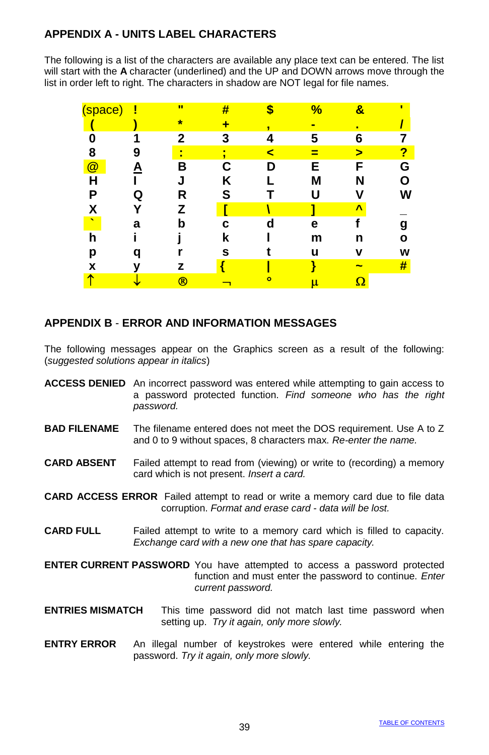# **APPENDIX A - UNITS LABEL CHARACTERS**

The following is a list of the characters are available any place text can be entered. The list will start with the **A** character (underlined) and the UP and DOWN arrows move through the list in order left to right. The characters in shadow are NOT legal for file names.

| (space)                  | ļ | π            | # |           | %              | 8  | п |
|--------------------------|---|--------------|---|-----------|----------------|----|---|
|                          |   | $\star$      |   | J         | $\blacksquare$ | п  |   |
| በ                        |   | $\mathbf{2}$ | 3 | 4         | 5              | 6  |   |
| 8                        | 9 | п            |   | ⋖         | ≡              | >  | ? |
| $\circleda$              |   | B            | С | n         | Е              | F  | G |
| Н                        |   |              | κ |           | М              | N  |   |
| Ρ                        |   | R            | S |           |                |    |   |
|                          |   | z            |   |           |                | Λ  |   |
| $\overline{\phantom{a}}$ | а | b            | c | d         | е              |    |   |
| h                        |   |              | k |           | m              | n  | Ω |
| р                        |   |              | s |           | u              | v  | W |
| x                        |   | z            |   |           |                | -  | # |
|                          |   | $^\circledR$ |   | $\bullet$ | μ              | 77 |   |
|                          |   |              |   |           |                |    |   |

### **APPENDIX B** - **ERROR AND INFORMATION MESSAGES**

The following messages appear on the Graphics screen as a result of the following: (*suggested solutions appear in italics*)

- **ACCESS DENIED** An incorrect password was entered while attempting to gain access to a password protected function. *Find someone who has the right password.*
- **BAD FILENAME** The filename entered does not meet the DOS requirement. Use A to Z and 0 to 9 without spaces, 8 characters max. *Re-enter the name.*
- **CARD ABSENT** Failed attempt to read from (viewing) or write to (recording) a memory card which is not present. *Insert a card.*

**CARD ACCESS ERROR** Failed attempt to read or write a memory card due to file data corruption. *Format and erase card - data will be lost.*

- **CARD FULL** Failed attempt to write to a memory card which is filled to capacity. *Exchange card with a new one that has spare capacity.*
- **ENTER CURRENT PASSWORD** You have attempted to access a password protected function and must enter the password to continue. *Enter current password.*
- **ENTRIES MISMATCH** This time password did not match last time password when setting up. *Try it again, only more slowly.*
- **ENTRY ERROR** An illegal number of keystrokes were entered while entering the password. *Try it again, only more slowly.*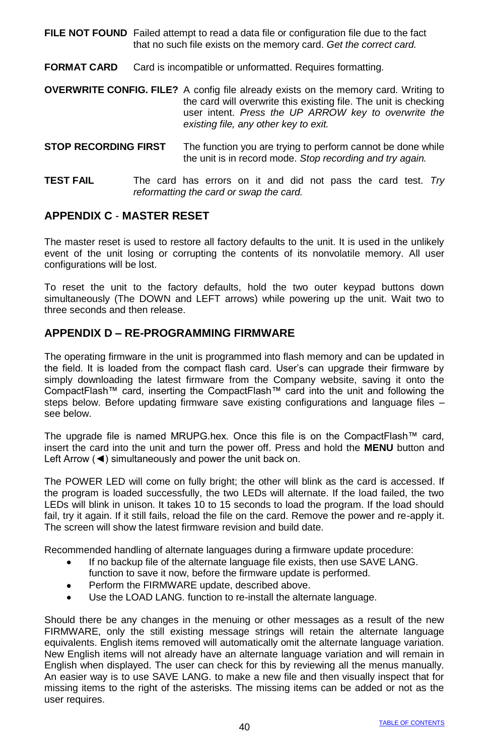**FILE NOT FOUND** Failed attempt to read a data file or configuration file due to the fact that no such file exists on the memory card. *Get the correct card.*

**FORMAT CARD** Card is incompatible or unformatted. Requires formatting.

**OVERWRITE CONFIG. FILE?** A config file already exists on the memory card. Writing to the card will overwrite this existing file. The unit is checking user intent. *Press the UP ARROW key to overwrite the existing file, any other key to exit.*

- **STOP RECORDING FIRST** The function you are trying to perform cannot be done while the unit is in record mode. *Stop recording and try again.*
- **TEST FAIL** The card has errors on it and did not pass the card test. *Try reformatting the card or swap the card.*

#### **APPENDIX C** - **MASTER RESET**

The master reset is used to restore all factory defaults to the unit. It is used in the unlikely event of the unit losing or corrupting the contents of its nonvolatile memory. All user configurations will be lost.

To reset the unit to the factory defaults, hold the two outer keypad buttons down simultaneously (The DOWN and LEFT arrows) while powering up the unit. Wait two to three seconds and then release.

#### **APPENDIX D – RE-PROGRAMMING FIRMWARE**

The operating firmware in the unit is programmed into flash memory and can be updated in the field. It is loaded from the compact flash card. User's can upgrade their firmware by simply downloading the latest firmware from the Company website, saving it onto the CompactFlash™ card, inserting the CompactFlash™ card into the unit and following the steps below. Before updating firmware save existing configurations and language files – see below.

The upgrade file is named MRUPG.hex. Once this file is on the CompactFlash™ card, insert the card into the unit and turn the power off. Press and hold the **MENU** button and Left Arrow (◄) simultaneously and power the unit back on.

The POWER LED will come on fully bright; the other will blink as the card is accessed. If the program is loaded successfully, the two LEDs will alternate. If the load failed, the two LEDs will blink in unison. It takes 10 to 15 seconds to load the program. If the load should fail, try it again. If it still fails, reload the file on the card. Remove the power and re-apply it. The screen will show the latest firmware revision and build date.

Recommended handling of alternate languages during a firmware update procedure:

- If no backup file of the alternate language file exists, then use SAVE LANG.  $\bullet$ function to save it now, before the firmware update is performed.
- Perform the FIRMWARE update, described above.  $\bullet$
- Use the LOAD LANG. function to re-install the alternate language.  $\bullet$

Should there be any changes in the menuing or other messages as a result of the new FIRMWARE, only the still existing message strings will retain the alternate language equivalents. English items removed will automatically omit the alternate language variation. New English items will not already have an alternate language variation and will remain in English when displayed. The user can check for this by reviewing all the menus manually. An easier way is to use SAVE LANG. to make a new file and then visually inspect that for missing items to the right of the asterisks. The missing items can be added or not as the user requires.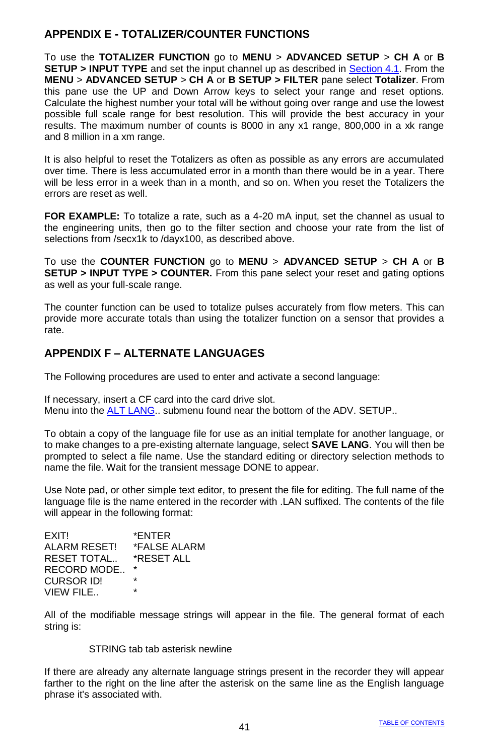### **APPENDIX E - TOTALIZER/COUNTER FUNCTIONS**

To use the **TOTALIZER FUNCTION** go to **MENU** > **ADVANCED SETUP** > **CH A** or **B SETUP > INPUT TYPE** and set the input channel up as described in Section 4.1. From the **MENU** > **ADVANCED SETUP** > **CH A** or **B SETUP > FILTER** pane select **Totalizer**. From this pane use the UP and Down Arrow keys to select your range and reset options. Calculate the highest number your total will be without going over range and use the lowest possible full scale range for best resolution. This will provide the best accuracy in your results. The maximum number of counts is 8000 in any x1 range, 800,000 in a xk range and 8 million in a xm range.

It is also helpful to reset the Totalizers as often as possible as any errors are accumulated over time. There is less accumulated error in a month than there would be in a year. There will be less error in a week than in a month, and so on. When you reset the Totalizers the errors are reset as well.

**FOR EXAMPLE:** To totalize a rate, such as a 4-20 mA input, set the channel as usual to the engineering units, then go to the filter section and choose your rate from the list of selections from /secx1k to /dayx100, as described above.

To use the **COUNTER FUNCTION** go to **MENU** > **ADVANCED SETUP** > **CH A** or **B SETUP > INPUT TYPE > COUNTER.** From this pane select your reset and gating options as well as your full-scale range.

The counter function can be used to totalize pulses accurately from flow meters. This can provide more accurate totals than using the totalizer function on a sensor that provides a rate.

### **APPENDIX F – ALTERNATE LANGUAGES**

The Following procedures are used to enter and activate a second language:

If necessary, insert a CF card into the card drive slot. Menu into the **ALT LANG**.. submenu found near the bottom of the ADV. SETUP..

To obtain a copy of the language file for use as an initial template for another language, or to make changes to a pre-existing alternate language, select **SAVE LANG**. You will then be prompted to select a file name. Use the standard editing or directory selection methods to name the file. Wait for the transient message DONE to appear.

Use Note pad, or other simple text editor, to present the file for editing. The full name of the language file is the name entered in the recorder with .LAN suffixed. The contents of the file will appear in the following format:

| *FNTFR       |
|--------------|
| *FALSE ALARM |
| *RESET ALL   |
| *            |
| ÷            |
| ÷            |
|              |

All of the modifiable message strings will appear in the file. The general format of each string is:

### STRING tab tab asterisk newline

If there are already any alternate language strings present in the recorder they will appear farther to the right on the line after the asterisk on the same line as the English language phrase it's associated with.